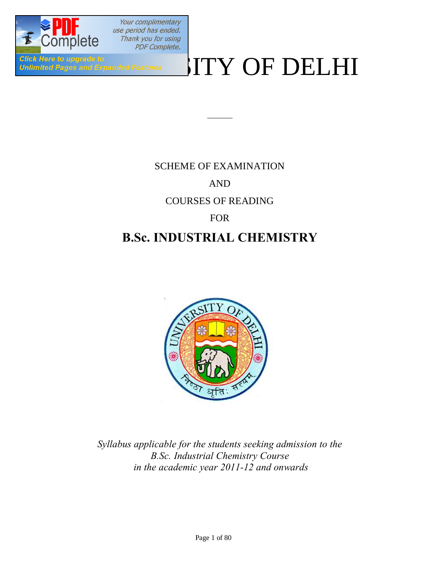

Your complimentary use period has ended. Thank you for using **PDF Complete.** 

# Click Here to upgrade to  $\blacksquare$

## SCHEME OF EXAMINATION AND

 $\overline{\phantom{a}}$ 

## COURSES OF READING

### FOR

## **B.Sc. INDUSTRIAL CHEMISTRY**



*Syllabus applicable for the students seeking admission to the B.Sc. Industrial Chemistry Course in the academic year 2011-12 and onwards*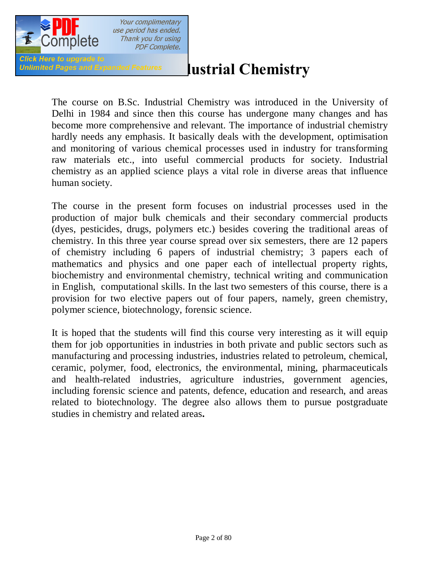

# *Unlimited Pages and Expanded Features* **Lustrial Chemistry**

The course on B.Sc. Industrial Chemistry was introduced in the University of Delhi in 1984 and since then this course has undergone many changes and has become more comprehensive and relevant. The importance of industrial chemistry hardly needs any emphasis. It basically deals with the development, optimisation and monitoring of various chemical processes used in industry for transforming raw materials etc., into useful commercial products for society. Industrial chemistry as an applied science plays a vital role in diverse areas that influence human society.

The course in the present form focuses on industrial processes used in the production of major bulk chemicals and their secondary commercial products (dyes, pesticides, drugs, polymers etc.) besides covering the traditional areas of chemistry. In this three year course spread over six semesters, there are 12 papers of chemistry including 6 papers of industrial chemistry; 3 papers each of mathematics and physics and one paper each of intellectual property rights, biochemistry and environmental chemistry, technical writing and communication in English, computational skills. In the last two semesters of this course, there is a provision for two elective papers out of four papers, namely, green chemistry, polymer science, biotechnology, forensic science.

It is hoped that the students will find this course very interesting as it will equip them for job opportunities in industries in both private and public sectors such as manufacturing and processing industries, industries related to petroleum, chemical, ceramic, polymer, food, electronics, the environmental, mining, pharmaceuticals and health-related industries, agriculture industries, government agencies, including forensic science and patents, defence, education and research, and areas related to biotechnology. The degree also allows them to pursue postgraduate studies in chemistry and related areas**.**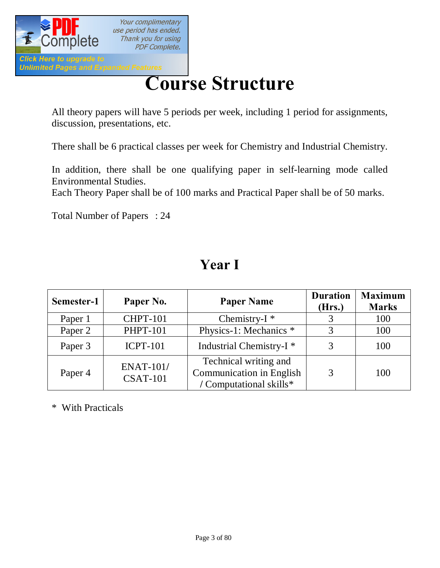

# **[Cour](http://www.pdfcomplete.com/cms/hppl/tabid/108/Default.aspx?r=q8b3uige22)se Structure**

All theory papers will have 5 periods per week, including 1 period for assignments, discussion, presentations, etc.

There shall be 6 practical classes per week for Chemistry and Industrial Chemistry.

In addition, there shall be one qualifying paper in self-learning mode called Environmental Studies.

Each Theory Paper shall be of 100 marks and Practical Paper shall be of 50 marks.

Total Number of Papers : 24

# **Year I**

| Semester-1 | Paper No.                           | <b>Paper Name</b>                                                                   | <b>Duration</b><br>(Hrs.) | <b>Maximum</b><br><b>Marks</b> |
|------------|-------------------------------------|-------------------------------------------------------------------------------------|---------------------------|--------------------------------|
| Paper 1    | <b>CHPT-101</b>                     | Chemistry- $I^*$                                                                    |                           | 100                            |
| Paper 2    | <b>PHPT-101</b>                     | Physics-1: Mechanics *                                                              | 3                         | 100                            |
| Paper 3    | <b>ICPT-101</b>                     | Industrial Chemistry-I <sup>*</sup>                                                 |                           | 100                            |
| Paper 4    | <b>ENAT-101/</b><br><b>CSAT-101</b> | Technical writing and<br><b>Communication in English</b><br>/ Computational skills* | 3                         | 100                            |

\* With Practicals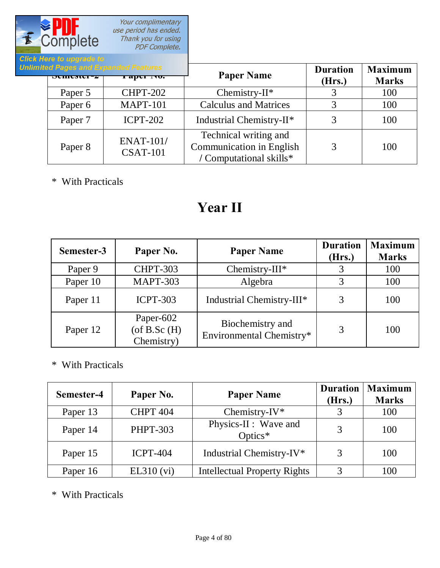

Your complimentary<br>use period has ended. Thank you for using<br>PDF Complete.

| и пеге <i>п</i> о иругаче по |                                                         |                                                                                     |                           |                                |
|------------------------------|---------------------------------------------------------|-------------------------------------------------------------------------------------|---------------------------|--------------------------------|
| $DUHUMU^-$                   | mited Pages and Expanded Features<br><b>1 арег 110.</b> | <b>Paper Name</b>                                                                   | <b>Duration</b><br>(Hrs.) | <b>Maximum</b><br><b>Marks</b> |
| Paper 5                      | <b>CHPT-202</b>                                         | Chemistry- $II^*$                                                                   |                           | 100                            |
| Paper 6                      | <b>MAPT-101</b>                                         | <b>Calculus and Matrices</b>                                                        |                           | 100                            |
| Paper 7                      | <b>ICPT-202</b>                                         | Industrial Chemistry-II*                                                            |                           | 100                            |
| Paper 8                      | <b>ENAT-101/</b><br><b>CSAT-101</b>                     | Technical writing and<br><b>Communication in English</b><br>/ Computational skills* | 3                         | 100                            |

\* With Practicals

# **Year II**

| Semester-3 | Paper No.                                    | <b>Paper Name</b>                            | <b>Duration</b><br>(Hrs.) | <b>Maximum</b><br><b>Marks</b> |
|------------|----------------------------------------------|----------------------------------------------|---------------------------|--------------------------------|
| Paper 9    | <b>CHPT-303</b>                              | Chemistry-III*                               |                           | 100                            |
| Paper 10   | <b>MAPT-303</b>                              | Algebra                                      |                           | 100                            |
| Paper 11   | <b>ICPT-303</b>                              | Industrial Chemistry-III*                    |                           | 100                            |
| Paper 12   | Paper-602<br>$($ of B.Sc $(H)$<br>Chemistry) | Biochemistry and<br>Environmental Chemistry* |                           | 100                            |

\* With Practicals

| Semester-4 | Paper No.       | <b>Paper Name</b>                   | <b>Duration</b><br>(Hrs.) | <b>Maximum</b><br><b>Marks</b> |
|------------|-----------------|-------------------------------------|---------------------------|--------------------------------|
| Paper 13   | <b>CHPT 404</b> | Chemistry-IV*                       |                           | 100                            |
| Paper 14   | <b>PHPT-303</b> | Physics-II : Wave and<br>Optics $*$ |                           | 100                            |
| Paper 15   | <b>ICPT-404</b> | Industrial Chemistry-IV*            | 3                         | 100                            |
| Paper 16   | EL310 (vi)      | <b>Intellectual Property Rights</b> | 2                         | 100                            |

\* With Practicals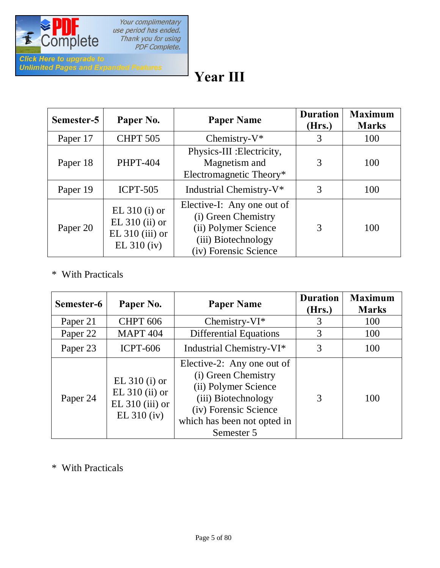

# **Year III**

| Semester-5 | Paper No.                                                                 | <b>Paper Name</b>                                                                                                         | <b>Duration</b><br>(Hrs.) | <b>Maximum</b><br><b>Marks</b> |
|------------|---------------------------------------------------------------------------|---------------------------------------------------------------------------------------------------------------------------|---------------------------|--------------------------------|
| Paper 17   | <b>CHPT 505</b>                                                           | Chemistry- $V^*$                                                                                                          | 3                         | 100                            |
| Paper 18   | <b>PHPT-404</b>                                                           | Physics-III : Electricity,<br>Magnetism and<br>Electromagnetic Theory*                                                    | 3                         | 100                            |
| Paper 19   | <b>ICPT-505</b>                                                           | Industrial Chemistry-V*                                                                                                   | 3                         | 100                            |
| Paper 20   | EL $310$ (i) or<br>EL $310$ (ii) or<br>$EL 310 (iii)$ or<br>$EL 310$ (iv) | Elective-I: Any one out of<br>(i) Green Chemistry<br>(ii) Polymer Science<br>(iii) Biotechnology<br>(iv) Forensic Science | 3                         | 100                            |

#### \* With Practicals

| Semester-6 | Paper No.                                                                 | <b>Paper Name</b>                                                                                                                                                      | <b>Duration</b><br>(Hrs.) | <b>Maximum</b><br><b>Marks</b> |
|------------|---------------------------------------------------------------------------|------------------------------------------------------------------------------------------------------------------------------------------------------------------------|---------------------------|--------------------------------|
| Paper 21   | <b>CHPT 606</b>                                                           | Chemistry- $VI^*$                                                                                                                                                      | 3                         | 100                            |
| Paper 22   | <b>MAPT 404</b>                                                           | <b>Differential Equations</b>                                                                                                                                          |                           | 100                            |
| Paper 23   | <b>ICPT-606</b>                                                           | Industrial Chemistry-VI*                                                                                                                                               | 3                         | 100                            |
| Paper 24   | EL $310$ (i) or<br>EL $310$ (ii) or<br>$EL 310 (iii)$ or<br>$EL 310$ (iv) | Elective-2: Any one out of<br>(i) Green Chemistry<br>(ii) Polymer Science<br>(iii) Biotechnology<br>(iv) Forensic Science<br>which has been not opted in<br>Semester 5 | 3                         | 100                            |

\* With Practicals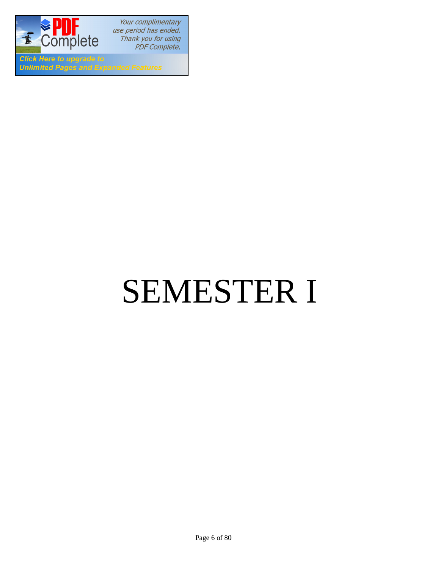

Your complimentary use period has ended. Thank you for using PDF Complete.

**Click Here to upgrade to Unlimited Pages and Expanded Features** 

# SEMESTER I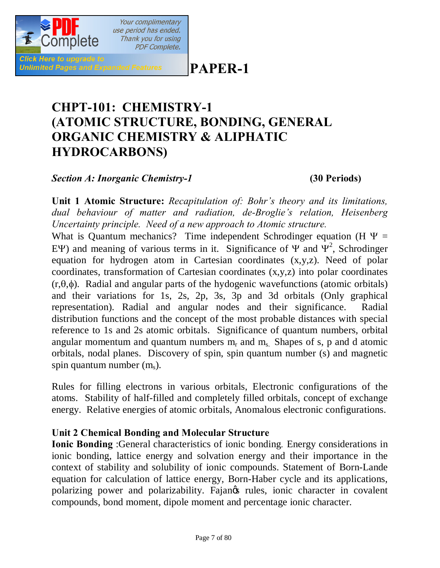## **PAPER-1**

# **CHPT-101: CHEMISTRY-1 (ATOMIC STRUCTURE, BONDING, GENERAL ORGANIC CHEMISTRY & ALIPHATIC HYDROCARBONS)**

*Section A: Inorganic Chemistry-1* **(30 Periods)**

**Click Here to upgrade to** 

**Unlimited Pages and Expanded Features** 

Your complimentary use period has ended. Thank you for using **PDF Complete.** 

**Unit 1 Atomic Structure:** *Recapitulation of: Bohr's theory and its limitations, dual behaviour of matter and radiation, de-Broglie's relation, Heisenberg Uncertainty principle. Need of a new approach to Atomic structure.*

What is Quantum mechanics? Time independent Schrodinger equation (H  $\Psi$  = EY) and meaning of various terms in it. Significance of  $\Psi$  and  $\Psi^2$ , Schrodinger equation for hydrogen atom in Cartesian coordinates (x,y,z). Need of polar coordinates, transformation of Cartesian coordinates (x,y,z) into polar coordinates  $(r,\theta,\phi)$ . Radial and angular parts of the hydogenic wavefunctions (atomic orbitals) and their variations for 1s, 2s, 2p, 3s, 3p and 3d orbitals (Only graphical representation). Radial and angular nodes and their significance. Radial distribution functions and the concept of the most probable distances with special reference to 1s and 2s atomic orbitals. Significance of quantum numbers, orbital angular momentum and quantum numbers  $m_r$  and  $m_s$ . Shapes of s, p and d atomic orbitals, nodal planes. Discovery of spin, spin quantum number (s) and magnetic spin quantum number  $(m_s)$ .

Rules for filling electrons in various orbitals, Electronic configurations of the atoms. Stability of half-filled and completely filled orbitals, concept of exchange energy. Relative energies of atomic orbitals, Anomalous electronic configurations.

#### **Unit 2 Chemical Bonding and Molecular Structure**

**Ionic Bonding** :General characteristics of ionic bonding*.* Energy considerations in ionic bonding, lattice energy and solvation energy and their importance in the context of stability and solubility of ionic compounds. Statement of Born-Lande equation for calculation of lattice energy, Born-Haber cycle and its applications, polarizing power and polarizability. Fajangs rules, ionic character in covalent compounds, bond moment, dipole moment and percentage ionic character.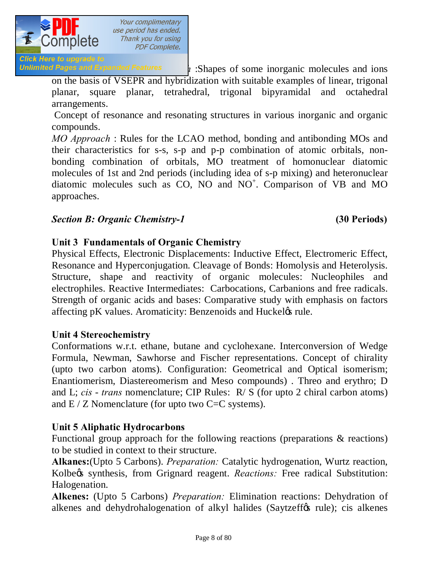

Your complimentary use period has ended. Thank you for using **PDF Complete.** 

**Click Here to upgrade to Unlimited Pages and Expanded Features**  $\mathbf{i}$ : Shapes of some inorganic molecules and ions

on the basis of VSEPR and hybridization with suitable examples of linear, trigonal planar, square planar, tetrahedral, trigonal bipyramidal and octahedral arrangements.

Concept of resonance and resonating structures in various inorganic and organic compounds.

*MO Approach* : Rules for the LCAO method, bonding and antibonding MOs and their characteristics for s-s, s-p and p-p combination of atomic orbitals, nonbonding combination of orbitals, MO treatment of homonuclear diatomic molecules of 1st and 2nd periods (including idea of s-p mixing) and heteronuclear diatomic molecules such as CO, NO and NO<sup>+</sup>. Comparison of VB and MO approaches.

#### *Section B: Organic Chemistry-1* **(30 Periods)**

#### **Unit 3 Fundamentals of Organic Chemistry**

Physical Effects, Electronic Displacements: Inductive Effect, Electromeric Effect, Resonance and Hyperconjugation. Cleavage of Bonds: Homolysis and Heterolysis. Structure, shape and reactivity of organic molecules: Nucleophiles and electrophiles. Reactive Intermediates: Carbocations, Carbanions and free radicals. Strength of organic acids and bases: Comparative study with emphasis on factors affecting pK values. Aromaticity: Benzenoids and Huckel& rule.

#### **Unit 4 Stereochemistry**

Conformations w.r.t. ethane, butane and cyclohexane. Interconversion of Wedge Formula, Newman, Sawhorse and Fischer representations. Concept of chirality (upto two carbon atoms). Configuration: Geometrical and Optical isomerism; Enantiomerism, Diastereomerism and Meso compounds) . Threo and erythro; D and L; *cis* - *trans* nomenclature; CIP Rules: R/ S (for upto 2 chiral carbon atoms) and  $E/Z$  Nomenclature (for upto two  $C=C$  systems).

#### **Unit 5 Aliphatic Hydrocarbons**

Functional group approach for the following reactions (preparations & reactions) to be studied in context to their structure.

**Alkanes:**(Upto 5 Carbons). *Preparation:* Catalytic hydrogenation, Wurtz reaction, Kolbegs synthesis, from Grignard reagent. *Reactions:* Free radical Substitution: Halogenation.

**Alkenes:** (Upto 5 Carbons) *Preparation:* Elimination reactions: Dehydration of alkenes and dehydrohalogenation of alkyl halides (Saytzeff $\alpha$  rule); cis alkenes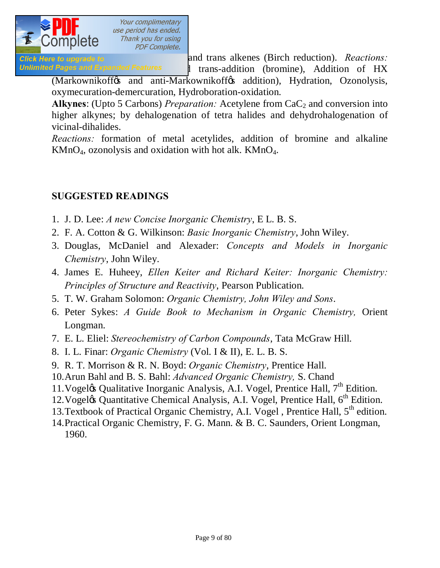

Click Here to upgrade to **Exercise 2018** and trans alkenes (Birch reduction). *Reactions:* Unlimited Pages and Expanded Features 1 trans-addition (bromine), Addition of HX

(Markownikoff & and anti-Markownikoff & addition), Hydration, Ozonolysis, oxymecuration-demercuration, Hydroboration-oxidation.

Alkynes: (Upto 5 Carbons) *Preparation:* Acetylene from CaC<sub>2</sub> and conversion into higher alkynes; by dehalogenation of tetra halides and dehydrohalogenation of vicinal-dihalides.

*Reactions:* formation of metal acetylides, addition of bromine and alkaline  $KMnO<sub>4</sub>$ , ozonolysis and oxidation with hot alk.  $KMnO<sub>4</sub>$ .

#### **SUGGESTED READINGS**

- 1. J. D. Lee: *A new Concise Inorganic Chemistry*, E L. B. S.
- 2. F. A. Cotton & G. Wilkinson: *Basic Inorganic Chemistry*, John Wiley.
- 3. Douglas, McDaniel and Alexader: *Concepts and Models in Inorganic Chemistry*, John Wiley.
- 4. James E. Huheey, *Ellen Keiter and Richard Keiter: Inorganic Chemistry: Principles of Structure and Reactivity*, Pearson Publication.
- 5. T. W. Graham Solomon: *Organic Chemistry, John Wiley and Sons*.
- 6. Peter Sykes: *A Guide Book to Mechanism in Organic Chemistry,* Orient Longman.
- 7. E. L. Eliel: *Stereochemistry of Carbon Compounds*, Tata McGraw Hill.
- 8. I. L. Finar: *Organic Chemistry* (Vol. I & II), E. L. B. S.
- 9. R. T. Morrison & R. N. Boyd: *Organic Chemistry*, Prentice Hall.
- 10.Arun Bahl and B. S. Bahl: *Advanced Organic Chemistry,* S. Chand
- 11. Vogel $\alpha$  Qualitative Inorganic Analysis, A.I. Vogel, Prentice Hall,  $7<sup>th</sup>$  Edition.
- 12. Vogeløs Quantitative Chemical Analysis, A.I. Vogel, Prentice Hall, 6<sup>th</sup> Edition.
- 13. Textbook of Practical Organic Chemistry, A.I. Vogel, Prentice Hall,  $5<sup>th</sup>$  edition.
- 14.Practical Organic Chemistry, F. G. Mann. & B. C. Saunders, Orient Longman, 1960.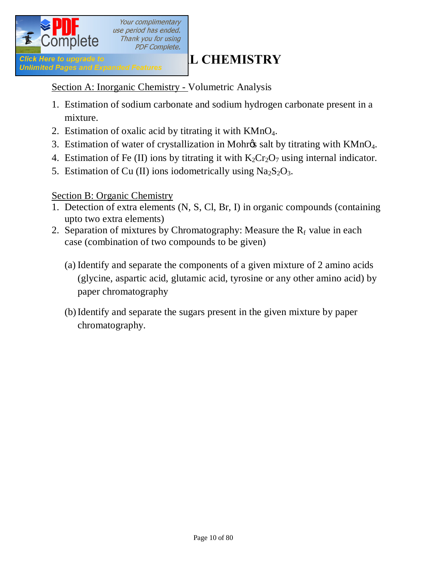

Section A: Inorganic Chemistry - Volumetric Analysis

- 1. Estimation of sodium carbonate and sodium hydrogen carbonate present in a mixture.
- 2. Estimation of oxalic acid by titrating it with KMnO4.
- 3. Estimation of water of crystallization in Mohr $\alpha$ s salt by titrating with KMnO<sub>4</sub>.
- 4. Estimation of Fe (II) ions by titrating it with  $K_2Cr_2O_7$  using internal indicator.
- 5. Estimation of Cu (II) ions iodometrically using  $Na<sub>2</sub>S<sub>2</sub>O<sub>3</sub>$ .

#### Section B: Organic Chemistry

- 1. Detection of extra elements (N, S, Cl, Br, I) in organic compounds (containing upto two extra elements)
- 2. Separation of mixtures by Chromatography: Measure the  $R_f$  value in each case (combination of two compounds to be given)
	- (a) Identify and separate the components of a given mixture of 2 amino acids (glycine, aspartic acid, glutamic acid, tyrosine or any other amino acid) by paper chromatography
	- (b)Identify and separate the sugars present in the given mixture by paper chromatography.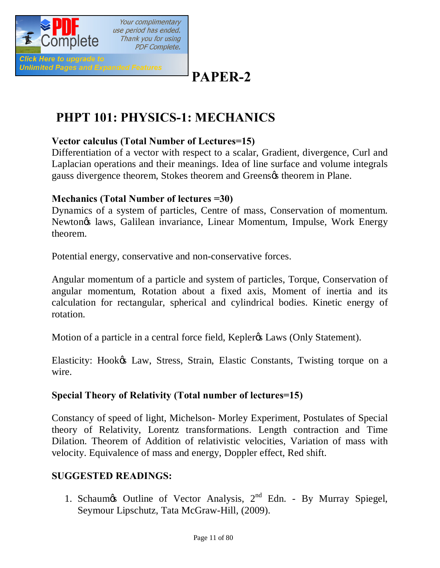

# **PAPER-2**

# **PHPT 101: PHYSICS-1: MECHANICS**

#### **Vector calculus (Total Number of Lectures=15)**

Differentiation of a vector with respect to a scalar, Gradient, divergence, Curl and Laplacian operations and their meanings. Idea of line surface and volume integrals gauss divergence theorem, Stokes theorem and Greens theorem in Plane.

#### **Mechanics (Total Number of lectures =30)**

Dynamics of a system of particles, Centre of mass, Conservation of momentum. Newton's laws, Galilean invariance, Linear Momentum, Impulse, Work Energy theorem.

Potential energy, conservative and non-conservative forces.

Angular momentum of a particle and system of particles, Torque, Conservation of angular momentum, Rotation about a fixed axis, Moment of inertia and its calculation for rectangular, spherical and cylindrical bodies. Kinetic energy of rotation.

Motion of a particle in a central force field, Kepler<sub>®</sub> Laws (Only Statement).

Elasticity: Hook& Law, Stress, Strain, Elastic Constants, Twisting torque on a wire.

#### **Special Theory of Relativity (Total number of lectures=15)**

Constancy of speed of light, Michelson- Morley Experiment, Postulates of Special theory of Relativity, Lorentz transformations. Length contraction and Time Dilation. Theorem of Addition of relativistic velocities, Variation of mass with velocity. Equivalence of mass and energy, Doppler effect, Red shift.

#### **SUGGESTED READINGS:**

1. Schaum $\infty$  Outline of Vector Analysis,  $2^{nd}$  Edn. - By Murray Spiegel, Seymour Lipschutz, Tata McGraw-Hill, (2009).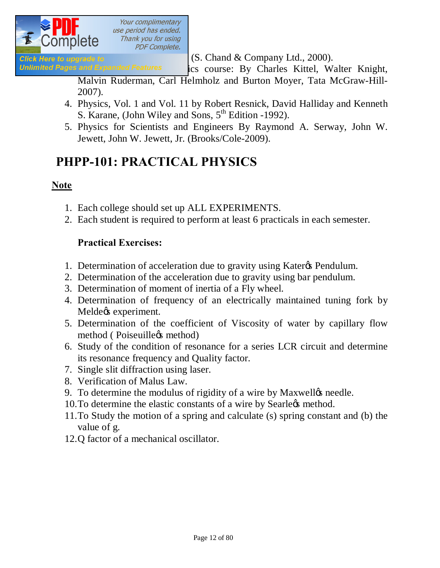

Click Here to upgrade to  $(S. Chand \& Company Ltd., 2000).$ 

Unlimited Pages and Expanded Features ics course: By Charles Kittel, Walter Knight,

Malvin Ruderman, Carl Helmholz and Burton Moyer, Tata McGraw-Hill-2007).

- 4. Physics, Vol. 1 and Vol. 11 by Robert Resnick, David Halliday and Kenneth S. Karane, (John Wiley and Sons,  $5<sup>th</sup>$  Edition -1992).
- 5. Physics for Scientists and Engineers By Raymond A. Serway, John W. Jewett, John W. Jewett, Jr. (Brooks/Cole-2009).

# **PHPP-101: PRACTICAL PHYSICS**

#### **Note**

- 1. Each college should set up ALL EXPERIMENTS.
- 2. Each student is required to perform at least 6 practicals in each semester.

#### **Practical Exercises:**

- 1. Determination of acceleration due to gravity using Kater<sub>of</sub> Pendulum.
- 2. Determination of the acceleration due to gravity using bar pendulum.
- 3. Determination of moment of inertia of a Fly wheel.
- 4. Determination of frequency of an electrically maintained tuning fork by Melde $\alpha$  experiment.
- 5. Determination of the coefficient of Viscosity of water by capillary flow method (Poiseuille<sub>%</sub> method)
- 6. Study of the condition of resonance for a series LCR circuit and determine its resonance frequency and Quality factor.
- 7. Single slit diffraction using laser.
- 8. Verification of Malus Law.
- 9. To determine the modulus of rigidity of a wire by Maxwelløs needle.
- 10. To determine the elastic constants of a wire by Searlegs method.
- 11.To Study the motion of a spring and calculate (s) spring constant and (b) the value of g.
- 12.Q factor of a mechanical oscillator.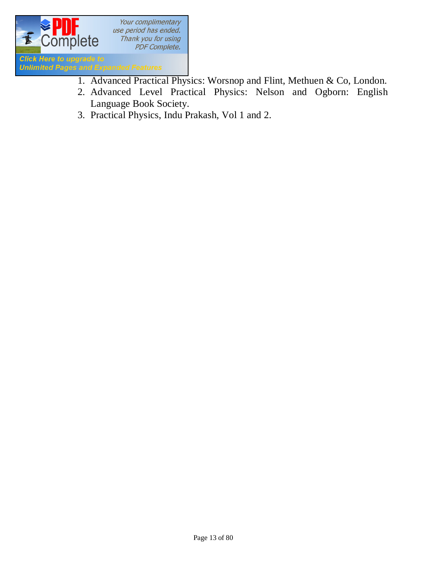

- 1. Advanced Practical Physics: Worsnop and Flint, Methuen & Co, London.
- 2. Advanced Level Practical Physics: Nelson and Ogborn: English Language Book Society.
- 3. Practical Physics, Indu Prakash, Vol 1 and 2.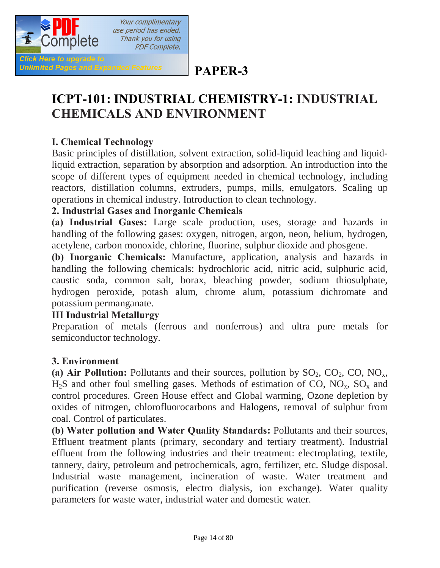

# **PAPER-3**

# **ICPT-101: INDUSTRIAL CHEMISTRY-1: INDUSTRIAL CHEMICALS AND ENVIRONMENT**

#### **I. Chemical Technology**

Basic principles of distillation, solvent extraction, solid-liquid leaching and liquidliquid extraction, separation by absorption and adsorption. An introduction into the scope of different types of equipment needed in chemical technology, including reactors, distillation columns, extruders, pumps, mills, emulgators. Scaling up operations in chemical industry. Introduction to clean technology.

#### **2. Industrial Gases and Inorganic Chemicals**

**(a) Industrial Gases:** Large scale production, uses, storage and hazards in handling of the following gases: oxygen, nitrogen, argon, neon, helium, hydrogen, acetylene, carbon monoxide, chlorine, fluorine, sulphur dioxide and phosgene.

**(b) Inorganic Chemicals:** Manufacture, application, analysis and hazards in handling the following chemicals: hydrochloric acid, nitric acid, sulphuric acid, caustic soda, common salt, borax, bleaching powder, sodium thiosulphate, hydrogen peroxide, potash alum, chrome alum, potassium dichromate and potassium permanganate.

#### **III Industrial Metallurgy**

Preparation of metals (ferrous and nonferrous) and ultra pure metals for semiconductor technology.

#### **3. Environment**

(a) Air Pollution: Pollutants and their sources, pollution by  $SO_2$ ,  $CO_2$ ,  $CO$ ,  $NO_x$ ,  $H_2S$  and other foul smelling gases. Methods of estimation of CO, NO<sub>x</sub>, SO<sub>x</sub> and control procedures. Green House effect and Global warming, Ozone depletion by oxides of nitrogen, chlorofluorocarbons and Halogens, removal of sulphur from coal. Control of particulates.

**(b) Water pollution and Water Quality Standards:** Pollutants and their sources, Effluent treatment plants (primary, secondary and tertiary treatment). Industrial effluent from the following industries and their treatment: electroplating, textile, tannery, dairy, petroleum and petrochemicals, agro, fertilizer, etc. Sludge disposal. Industrial waste management, incineration of waste. Water treatment and purification (reverse osmosis, electro dialysis, ion exchange). Water quality parameters for waste water, industrial water and domestic water.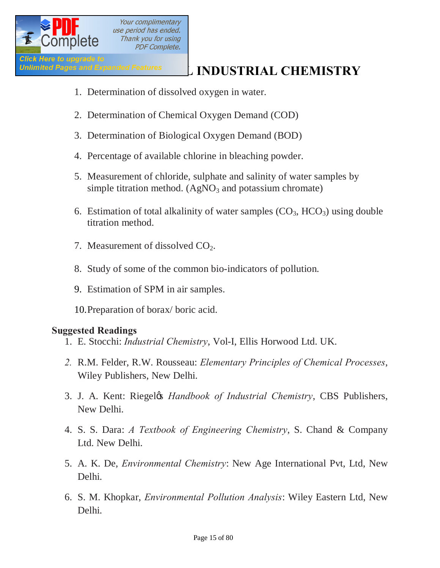

# **Unlimited Pages and Expanded Features INDUSTRIAL CHEMISTRY**

- 1. Determination of dissolved oxygen in water.
- 2. Determination of Chemical Oxygen Demand (COD)
- 3. Determination of Biological Oxygen Demand (BOD)
- 4. Percentage of available chlorine in bleaching powder.
- 5. Measurement of chloride, sulphate and salinity of water samples by simple titration method.  $(AgNO<sub>3</sub> and potassium chromate)$
- 6. Estimation of total alkalinity of water samples  $(CO_3, HCO_3)$  using double titration method.
- 7. Measurement of dissolved  $CO<sub>2</sub>$ .
- 8. Study of some of the common bio-indicators of pollution.
- 9. Estimation of SPM in air samples.

10.Preparation of borax/ boric acid.

#### **Suggested Readings**

- 1. E. Stocchi: *Industrial Chemistry*, Vol-I, Ellis Horwood Ltd. UK.
- *2.* R.M. Felder, R.W. Rousseau: *Elementary Principles of Chemical Processes*, Wiley Publishers, New Delhi.
- 3. J. A. Kent: Riegel's *Handbook of Industrial Chemistry*, CBS Publishers, New Delhi.
- 4. S. S. Dara: *A Textbook of Engineering Chemistry*, S. Chand & Company Ltd. New Delhi.
- 5. A. K. De, *Environmental Chemistry*: New Age International Pvt, Ltd, New Delhi.
- 6. S. M. Khopkar, *Environmental Pollution Analysis*: Wiley Eastern Ltd, New Delhi.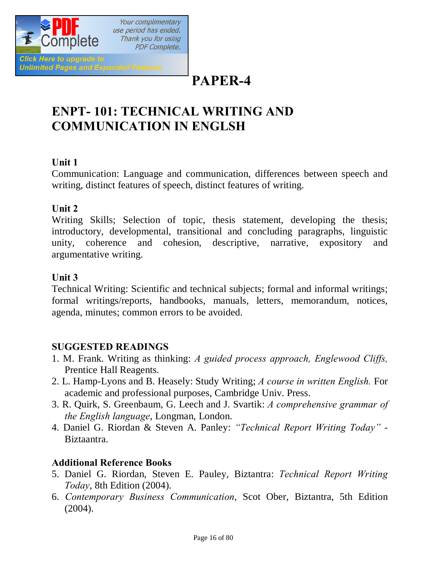

# **PAPER-4**

# **ENPT- 101: TECHNICAL WRITING AND COMMUNICATION IN ENGLSH**

#### **Unit 1**

Communication: Language and communication, differences between speech and writing, distinct features of speech, distinct features of writing.

#### **Unit 2**

Writing Skills; Selection of topic, thesis statement, developing the thesis; introductory, developmental, transitional and concluding paragraphs, linguistic unity, coherence and cohesion, descriptive, narrative, expository and argumentative writing.

#### **Unit 3**

Technical Writing: Scientific and technical subjects; formal and informal writings; formal writings/reports, handbooks, manuals, letters, memorandum, notices, agenda, minutes; common errors to be avoided.

#### **SUGGESTED READINGS**

- 1. M. Frank. Writing as thinking: *A guided process approach, Englewood Cliffs,* Prentice Hall Reagents.
- 2. L. Hamp-Lyons and B. Heasely: Study Writing; *A course in written English.* For academic and professional purposes, Cambridge Univ. Press.
- 3. R. Quirk, S. Greenbaum, G. Leech and J. Svartik: *A comprehensive grammar of the English language*, Longman, London.
- 4. Daniel G. Riordan & Steven A. Panley: *"Technical Report Writing Today"* Biztaantra.

#### **Additional Reference Books**

- 5. Daniel G. Riordan, Steven E. Pauley, Biztantra: *Technical Report Writing Today*, 8th Edition (2004).
- 6. *Contemporary Business Communication*, Scot Ober, Biztantra, 5th Edition (2004).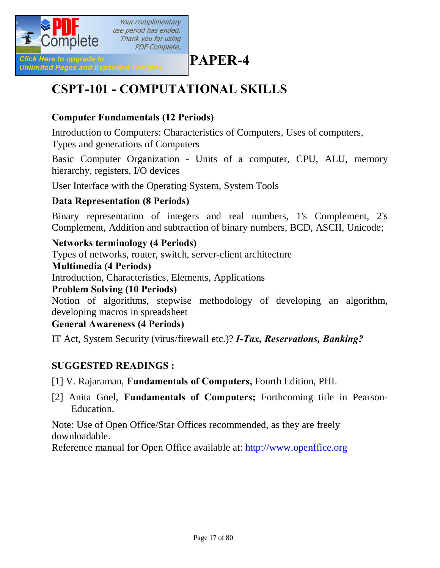

# **PAPER-4**

# **CSPT-101 - COMPUTATIONAL SKILLS**

#### **Computer Fundamentals (12 Periods)**

Introduction to Computers: Characteristics of Computers, Uses of computers,

Types and generations of Computers

Basic Computer Organization - Units of a computer, CPU, ALU, memory hierarchy, registers, I/O devices

User Interface with the Operating System, System Tools

#### **Data Representation (8 Periods)**

Binary representation of integers and real numbers, 1's Complement, 2's Complement, Addition and subtraction of binary numbers, BCD, ASCII, Unicode;

#### **Networks terminology (4 Periods)**

Types of networks, router, switch, server-client architecture

#### **Multimedia (4 Periods)**

Introduction, Characteristics, Elements, Applications

#### **Problem Solving (10 Periods)**

Notion of algorithms, stepwise methodology of developing an algorithm, developing macros in spreadsheet

#### **General Awareness (4 Periods)**

IT Act, System Security (virus/firewall etc.)? *I-Tax, Reservations, Banking?*

#### **SUGGESTED READINGS :**

[1] V. Rajaraman, **Fundamentals of Computers,** Fourth Edition, PHI.

[2] Anita Goel, **Fundamentals of Computers;** Forthcoming title in Pearson-Education.

Note: Use of Open Office/Star Offices recommended, as they are freely downloadable.

Reference manual for Open Office available at: http://www.openffice.org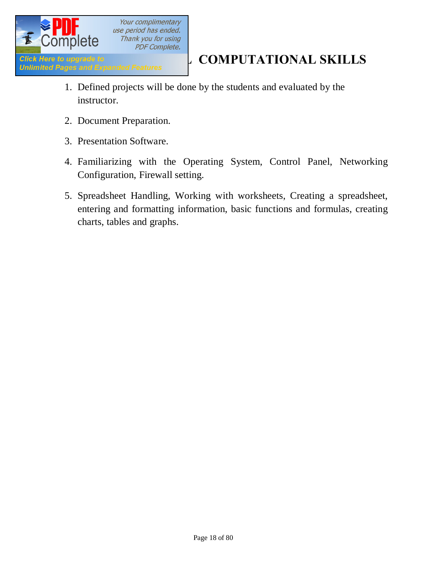

- 1. Defined projects will be done by the students and evaluated by the instructor.
- 2. Document Preparation.
- 3. Presentation Software.
- 4. Familiarizing with the Operating System, Control Panel, Networking Configuration, Firewall setting.
- 5. Spreadsheet Handling, Working with worksheets, Creating a spreadsheet, entering and formatting information, basic functions and formulas, creating charts, tables and graphs.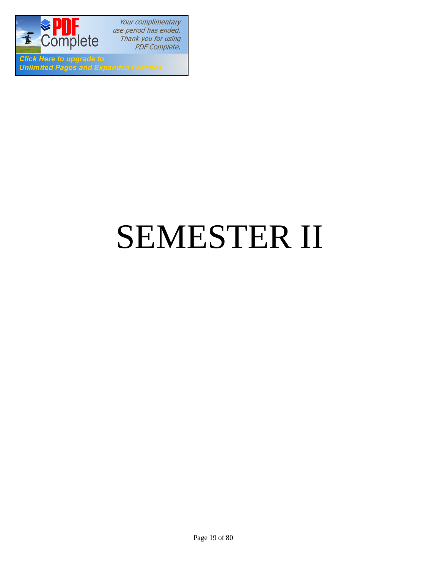

Your complimentary use period has ended. Thank you for using PDF Complete.

**Click Here to upgrade to Unlimited Pages and Expanded Features** 

# SEMESTER II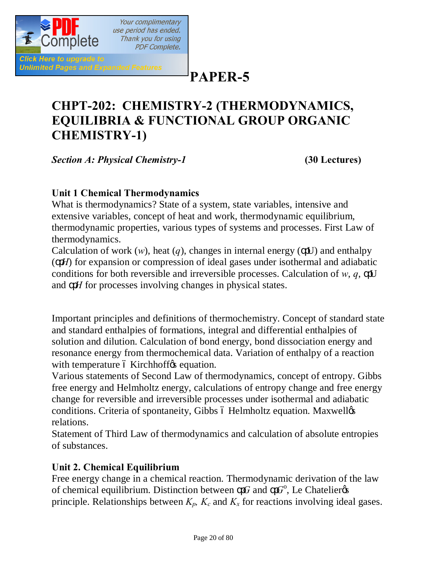

**PAPER-5**

# **CHPT-202: CHEMISTRY-2 (THERMODYNAMICS, EQUILIBRIA & FUNCTIONAL GROUP ORGANIC CHEMISTRY-1)**

*Section A: Physical Chemistry-1* **(30 Lectures)**

#### **Unit 1 Chemical Thermodynamics**

What is thermodynamics? State of a system, state variables, intensive and extensive variables, concept of heat and work, thermodynamic equilibrium, thermodynamic properties, various types of systems and processes. First Law of thermodynamics.

Calculation of work  $(w)$ , heat  $(q)$ , changes in internal energy  $($ U) and enthalpy ( *H*) for expansion or compression of ideal gases under isothermal and adiabatic conditions for both reversible and irreversible processes. Calculation of *w*, *q*, U and *H* for processes involving changes in physical states.

Important principles and definitions of thermochemistry. Concept of standard state and standard enthalpies of formations, integral and differential enthalpies of solution and dilution. Calculation of bond energy, bond dissociation energy and resonance energy from thermochemical data. Variation of enthalpy of a reaction with temperature 6 Kirchhoff ts equation.

Various statements of Second Law of thermodynamics, concept of entropy. Gibbs free energy and Helmholtz energy, calculations of entropy change and free energy change for reversible and irreversible processes under isothermal and adiabatic conditions. Criteria of spontaneity, Gibbs ó Helmholtz equation. Maxwellos relations.

Statement of Third Law of thermodynamics and calculation of absolute entropies of substances.

#### **Unit 2. Chemical Equilibrium**

Free energy change in a chemical reaction. Thermodynamic derivation of the law of chemical equilibrium. Distinction between  $G$  and  $G^{\circ}$ , Le Chatelier  $\circ$ principle. Relationships between  $K_p$ ,  $K_c$  and  $K_x$  for reactions involving ideal gases.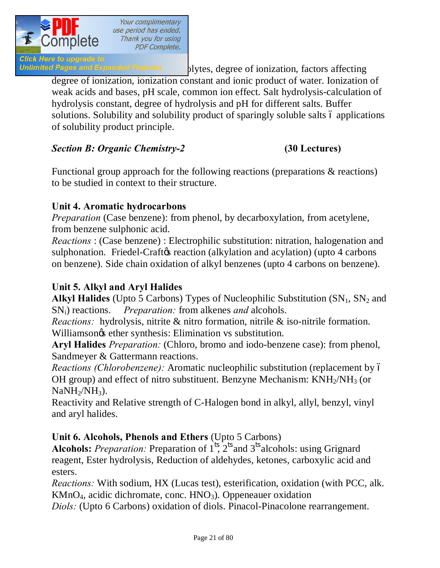

Unlimited Pages and Expanded Features blytes, degree of ionization, factors affecting degree of ionization, ionization constant and ionic product of water. Ionization of weak acids and bases, pH scale, common ion effect. Salt hydrolysis-calculation of hydrolysis constant, degree of hydrolysis and pH for different salts. Buffer solutions. Solubility and solubility product of sparingly soluble salts 6 applications of solubility product principle.

#### *Section B: Organic Chemistry-2* **(30 Lectures)**

Functional group approach for the following reactions (preparations & reactions) to be studied in context to their structure.

#### **Unit 4. Aromatic hydrocarbons**

*Preparation* (Case benzene): from phenol, by decarboxylation, from acetylene, from benzene sulphonic acid.

*Reactions* : (Case benzene) : Electrophilic substitution: nitration, halogenation and sulphonation. Friedel-Craft e reaction (alkylation and acylation) (upto 4 carbons on benzene). Side chain oxidation of alkyl benzenes (upto 4 carbons on benzene).

#### **Unit 5. Alkyl and Aryl Halides**

**Alkyl Halides** (Upto 5 Carbons) Types of Nucleophilic Substitution  $(SN_1, SN_2$  and SNi) reactions. *Preparation:* from alkenes *and* alcohols.

*Reactions:* hydrolysis, nitrite & nitro formation, nitrile & iso-nitrile formation. Williamson $\alpha$  ether synthesis: Elimination vs substitution.

**Aryl Halides** *Preparation:* (Chloro, bromo and iodo-benzene case): from phenol, Sandmeyer & Gattermann reactions.

*Reactions (Chlorobenzene):* Aromatic nucleophilic substitution (replacement by 6 OH group) and effect of nitro substituent. Benzyne Mechanism:  $KNH<sub>2</sub>/NH<sub>3</sub>$  (or  $NaNH<sub>2</sub>/NH<sub>3</sub>$ ).

Reactivity and Relative strength of C-Halogen bond in alkyl, allyl, benzyl, vinyl and aryl halides.

#### **Unit 6. Alcohols, Phenols and Ethers** (Upto 5 Carbons)

**Alcohols:** *Preparation:* Preparation of 1 , 2 and 3 alcohols: using Grignard reagent, Ester hydrolysis, Reduction of aldehydes, ketones, carboxylic acid and esters.

*Reactions:* With sodium, HX (Lucas test), esterification, oxidation (with PCC, alk.  $KMnO<sub>4</sub>$ , acidic dichromate, conc.  $HNO<sub>3</sub>$ ). Oppeneauer oxidation

*Diols:* (Upto 6 Carbons) oxidation of diols. Pinacol-Pinacolone rearrangement.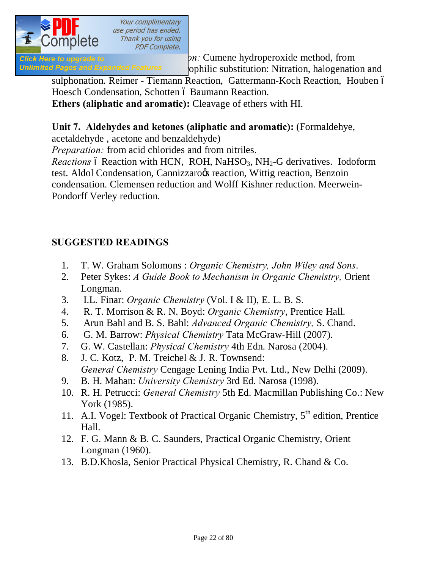

**Phenole case) Phenole case) Preparation: Phenomenol case) Preparation:** Cumene hydroperoxide method, from Unlimited Pages and Expanded Features ophilic substitution: Nitration, halogenation and

sulphonation. Reimer - Tiemann Reaction, Gattermann-Koch Reaction, Houben ó Hoesch Condensation, Schotten ó Baumann Reaction.

**Ethers (aliphatic and aromatic):** Cleavage of ethers with HI.

#### **Unit 7. Aldehydes and ketones (aliphatic and aromatic):** (Formaldehye,

acetaldehyde , acetone and benzaldehyde)

*Preparation:* from acid chlorides and from nitriles.

*Reactions* 6 Reaction with HCN, ROH, NaHSO<sub>3</sub>, NH<sub>2</sub>-G derivatives. Iodoform test. Aldol Condensation, Cannizzaroos reaction, Wittig reaction, Benzoin condensation. Clemensen reduction and Wolff Kishner reduction. Meerwein-Pondorff Verley reduction.

### **SUGGESTED READINGS**

- 1. T. W. Graham Solomons : *Organic Chemistry, John Wiley and Sons*.
- 2. Peter Sykes: *A Guide Book to Mechanism in Organic Chemistry,* Orient Longman.
- 3. I.L. Finar: *Organic Chemistry* (Vol. I & II), E. L. B. S.
- 4. R. T. Morrison & R. N. Boyd: *Organic Chemistry*, Prentice Hall.
- 5. Arun Bahl and B. S. Bahl: *Advanced Organic Chemistry,* S. Chand.
- 6. G. M. Barrow: *Physical Chemistry* Tata McGraw‐Hill (2007).
- 7. G. W. Castellan: *Physical Chemistry* 4th Edn. Narosa (2004).
- 8. J. C. Kotz, P. M. Treichel & J. R. Townsend: *General Chemistry* Cengage Lening India Pvt. Ltd., New Delhi (2009).
- 9. B. H. Mahan: *University Chemistry* 3rd Ed. Narosa (1998).
- 10. R. H. Petrucci: *General Chemistry* 5th Ed. Macmillan Publishing Co.: New York (1985).
- 11. A.I. Vogel: Textbook of Practical Organic Chemistry, 5<sup>th</sup> edition, Prentice Hall.
- 12. F. G. Mann & B. C. Saunders, Practical Organic Chemistry, Orient Longman (1960).
- 13. B.D.Khosla, Senior Practical Physical Chemistry, R. Chand & Co.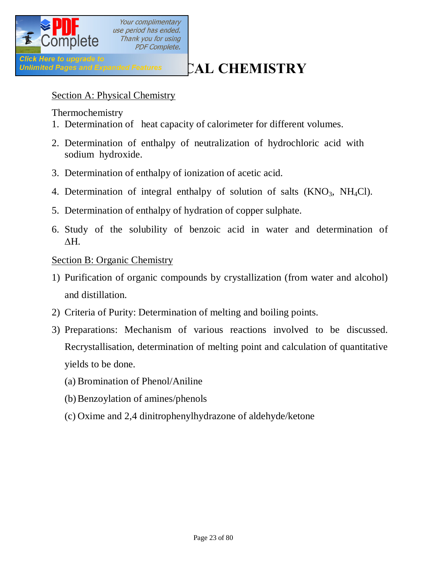

Click Here to upgrade to<br>Unlimited Pages and Expanded Features **CAL CHEMISTRY** 

#### Section A: Physical Chemistry

Thermochemistry

- 1. Determination of heat capacity of calorimeter for different volumes.
- 2. Determination of enthalpy of neutralization of hydrochloric acid with sodium hydroxide.
- 3. Determination of enthalpy of ionization of acetic acid.
- 4. Determination of integral enthalpy of solution of salts  $(KNO<sub>3</sub>, NH<sub>4</sub>Cl)$ .
- 5. Determination of enthalpy of hydration of copper sulphate.
- 6. Study of the solubility of benzoic acid in water and determination of  $\Delta H$ .

#### Section B: Organic Chemistry

- 1) Purification of organic compounds by crystallization (from water and alcohol) and distillation.
- 2) Criteria of Purity: Determination of melting and boiling points.
- 3) Preparations: Mechanism of various reactions involved to be discussed. Recrystallisation, determination of melting point and calculation of quantitative yields to be done.
	- (a) Bromination of Phenol/Aniline
	- (b)Benzoylation of amines/phenols
	- (c) Oxime and 2,4 dinitrophenylhydrazone of aldehyde/ketone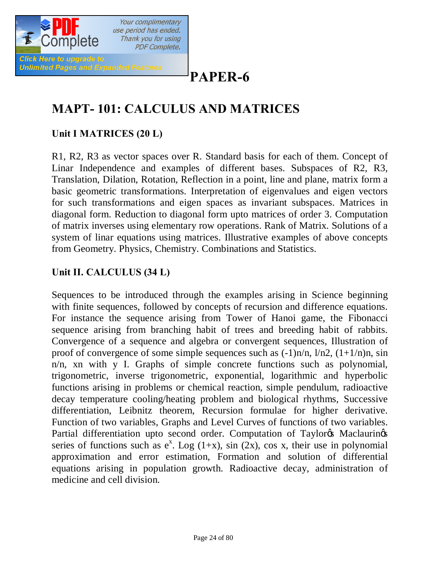

# **PAPER-6**

# **MAPT- 101: CALCULUS AND MATRICES**

### **Unit I MATRICES (20 L)**

R1, R2, R3 as vector spaces over R. Standard basis for each of them. Concept of Linar Independence and examples of different bases. Subspaces of R2, R3, Translation, Dilation, Rotation, Reflection in a point, line and plane, matrix form a basic geometric transformations. Interpretation of eigenvalues and eigen vectors for such transformations and eigen spaces as invariant subspaces. Matrices in diagonal form. Reduction to diagonal form upto matrices of order 3. Computation of matrix inverses using elementary row operations. Rank of Matrix. Solutions of a system of linar equations using matrices. Illustrative examples of above concepts from Geometry. Physics, Chemistry. Combinations and Statistics.

#### **Unit II. CALCULUS (34 L)**

Sequences to be introduced through the examples arising in Science beginning with finite sequences, followed by concepts of recursion and difference equations. For instance the sequence arising from Tower of Hanoi game, the Fibonacci sequence arising from branching habit of trees and breeding habit of rabbits. Convergence of a sequence and algebra or convergent sequences, Illustration of proof of convergence of some simple sequences such as  $(-1)n/n$ ,  $1/n2$ ,  $(1+1/n)n$ , sin n/n, xn with y I. Graphs of simple concrete functions such as polynomial, trigonometric, inverse trigonometric, exponential, logarithmic and hyperbolic functions arising in problems or chemical reaction, simple pendulum, radioactive decay temperature cooling/heating problem and biological rhythms, Successive differentiation, Leibnitz theorem, Recursion formulae for higher derivative. Function of two variables, Graphs and Level Curves of functions of two variables. Partial differentiation upto second order. Computation of Taylor & Maclaurinos series of functions such as  $e^x$ . Log (1+x), sin (2x), cos x, their use in polynomial approximation and error estimation, Formation and solution of differential equations arising in population growth. Radioactive decay, administration of medicine and cell division.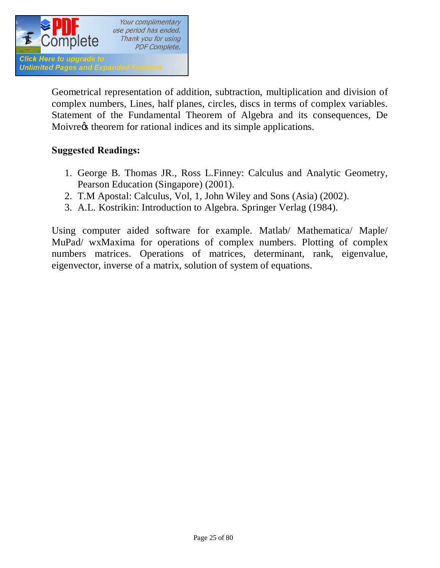

Geometrical representation of addition, subtraction, multiplication and division of complex numbers, Lines, half planes, circles, discs in terms of complex variables. Statement of the Fundamental Theorem of Algebra and its consequences, De Moivre $\alpha$  theorem for rational indices and its simple applications.

#### **Suggested Readings:**

- 1. George B. Thomas JR., Ross L.Finney: Calculus and Analytic Geometry, Pearson Education (Singapore) (2001).
- 2. T.M Apostal: Calculus, Vol, 1, John Wiley and Sons (Asia) (2002).
- 3. A.L. Kostrikin: Introduction to Algebra. Springer Verlag (1984).

Using computer aided software for example. Matlab/ Mathematica/ Maple/ MuPad/ wxMaxima for operations of complex numbers. Plotting of complex numbers matrices. Operations of matrices, determinant, rank, eigenvalue, eigenvector, inverse of a matrix, solution of system of equations.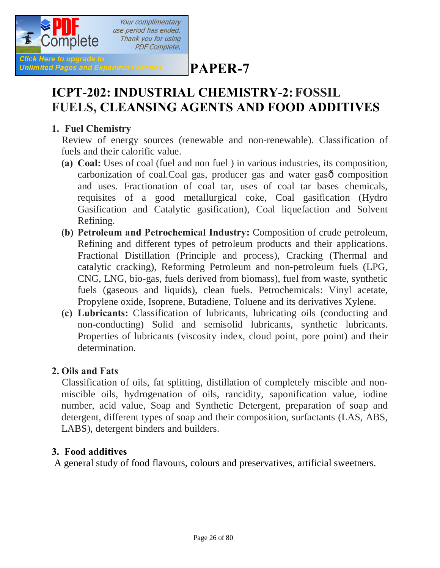

**PAPER-7**

# **ICPT-202: INDUSTRIAL CHEMISTRY-2:FOSSIL FUELS, CLEANSING AGENTS AND FOOD ADDITIVES**

#### **1. Fuel Chemistry**

**Unlimited Pages and Expanded Features** 

 Review of energy sources (renewable and non-renewable). Classification of fuels and their calorific value.

- **(a) Coal:** Uses of coal (fuel and non fuel ) in various industries, its composition, carbonization of coal.Coal gas, producer gas and water gasô composition and uses. Fractionation of coal tar, uses of coal tar bases chemicals, requisites of a good metallurgical coke, Coal gasification (Hydro Gasification and Catalytic gasification), Coal liquefaction and Solvent Refining.
- **(b) Petroleum and Petrochemical Industry:** Composition of crude petroleum, Refining and different types of petroleum products and their applications. Fractional Distillation (Principle and process), Cracking (Thermal and catalytic cracking), Reforming Petroleum and non-petroleum fuels (LPG, CNG, LNG, bio-gas, fuels derived from biomass), fuel from waste, synthetic fuels (gaseous and liquids), clean fuels. Petrochemicals: Vinyl acetate, Propylene oxide, Isoprene, Butadiene, Toluene and its derivatives Xylene.
- **(c) Lubricants:** Classification of lubricants, lubricating oils (conducting and non-conducting) Solid and semisolid lubricants, synthetic lubricants. Properties of lubricants (viscosity index, cloud point, pore point) and their determination.

#### **2. Oils and Fats**

 Classification of oils, fat splitting, distillation of completely miscible and nonmiscible oils, hydrogenation of oils, rancidity, saponification value, iodine number, acid value, Soap and Synthetic Detergent, preparation of soap and detergent, different types of soap and their composition, surfactants (LAS, ABS, LABS), detergent binders and builders.

#### **3. Food additives**

A general study of food flavours, colours and preservatives, artificial sweetners.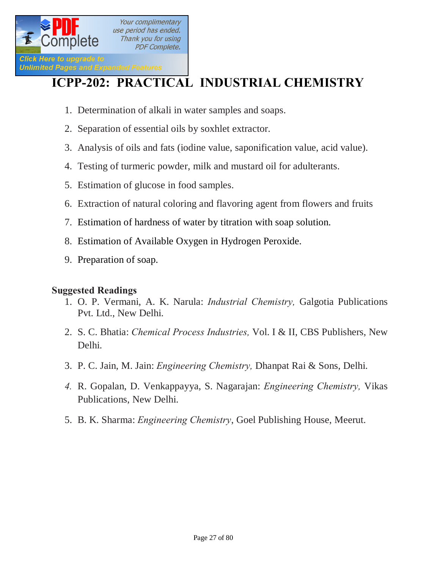

# **ICPP-202: PRACTICAL INDUSTRIAL CHEMISTRY**

- 1. Determination of alkali in water samples and soaps.
- 2. Separation of essential oils by soxhlet extractor.
- 3. Analysis of oils and fats (iodine value, saponification value, acid value).
- 4. Testing of turmeric powder, milk and mustard oil for adulterants.
- 5. Estimation of glucose in food samples.
- 6. Extraction of natural coloring and flavoring agent from flowers and fruits
- 7. Estimation of hardness of water by titration with soap solution.
- 8. Estimation of Available Oxygen in Hydrogen Peroxide.
- 9. Preparation of soap.

#### **Suggested Readings**

- 1. O. P. Vermani, A. K. Narula: *Industrial Chemistry,* Galgotia Publications Pvt. Ltd., New Delhi.
- 2. S. C. Bhatia: *Chemical Process Industries,* Vol. I & II, CBS Publishers, New Delhi.
- 3. P. C. Jain, M. Jain: *Engineering Chemistry,* Dhanpat Rai & Sons, Delhi.
- *4.* R. Gopalan, D. Venkappayya, S. Nagarajan: *Engineering Chemistry,* Vikas Publications, New Delhi.
- 5. B. K. Sharma: *Engineering Chemistry*, Goel Publishing House, Meerut.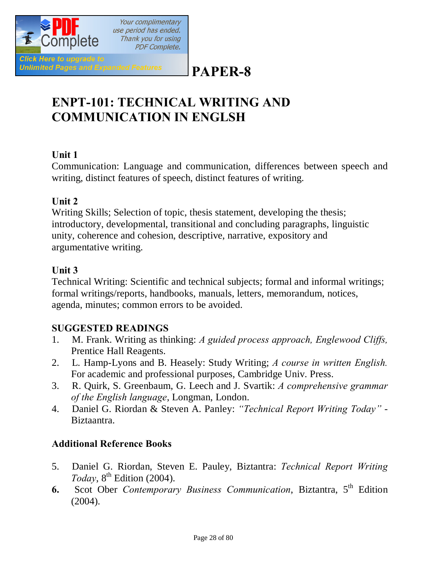

# **PAPER-8**

# **ENPT-101: TECHNICAL WRITING AND COMMUNICATION IN ENGLSH**

#### **Unit 1**

Communication: Language and communication, differences between speech and writing, distinct features of speech, distinct features of writing.

#### **Unit 2**

Writing Skills; Selection of topic, thesis statement, developing the thesis; introductory, developmental, transitional and concluding paragraphs, linguistic unity, coherence and cohesion, descriptive, narrative, expository and argumentative writing.

#### **Unit 3**

Technical Writing: Scientific and technical subjects; formal and informal writings; formal writings/reports, handbooks, manuals, letters, memorandum, notices, agenda, minutes; common errors to be avoided.

#### **SUGGESTED READINGS**

- 1. M. Frank. Writing as thinking: *A guided process approach, Englewood Cliffs,* Prentice Hall Reagents.
- 2. L. Hamp-Lyons and B. Heasely: Study Writing; *A course in written English.* For academic and professional purposes, Cambridge Univ. Press.
- 3. R. Quirk, S. Greenbaum, G. Leech and J. Svartik: *A comprehensive grammar of the English language*, Longman, London.
- 4. Daniel G. Riordan & Steven A. Panley: *"Technical Report Writing Today"* Biztaantra.

#### **Additional Reference Books**

- 5. Daniel G. Riordan, Steven E. Pauley, Biztantra: *Technical Report Writing Today*,  $8^{\text{th}}$  Edition (2004).
- **6.** Scot Ober *Contemporary Business Communication*, Biztantra, 5<sup>th</sup> Edition (2004).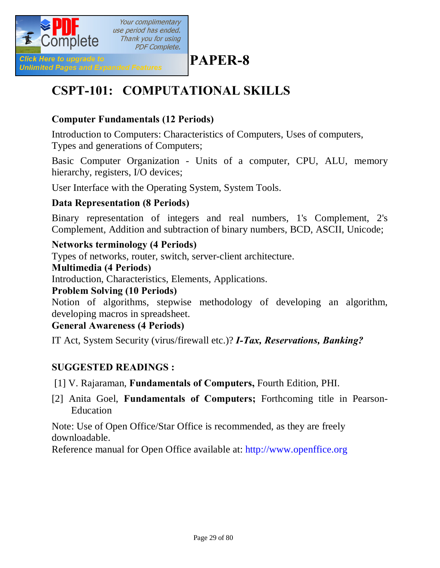

# **PAPER-8**

# **CSPT-101: COMPUTATIONAL SKILLS**

### **Computer Fundamentals (12 Periods)**

Introduction to Computers: Characteristics of Computers, Uses of computers, Types and generations of Computers;

Basic Computer Organization - Units of a computer, CPU, ALU, memory hierarchy, registers, I/O devices;

User Interface with the Operating System, System Tools.

#### **Data Representation (8 Periods)**

Binary representation of integers and real numbers, 1's Complement, 2's Complement, Addition and subtraction of binary numbers, BCD, ASCII, Unicode;

#### **Networks terminology (4 Periods)**

Types of networks, router, switch, server-client architecture.

#### **Multimedia (4 Periods)**

Introduction, Characteristics, Elements, Applications.

#### **Problem Solving (10 Periods)**

Notion of algorithms, stepwise methodology of developing an algorithm, developing macros in spreadsheet.

#### **General Awareness (4 Periods)**

IT Act, System Security (virus/firewall etc.)? *I-Tax, Reservations, Banking?*

#### **SUGGESTED READINGS :**

[1] V. Rajaraman, **Fundamentals of Computers,** Fourth Edition, PHI.

[2] Anita Goel, **Fundamentals of Computers;** Forthcoming title in Pearson-Education

Note: Use of Open Office/Star Office is recommended, as they are freely downloadable.

Reference manual for Open Office available at: http://www.openffice.org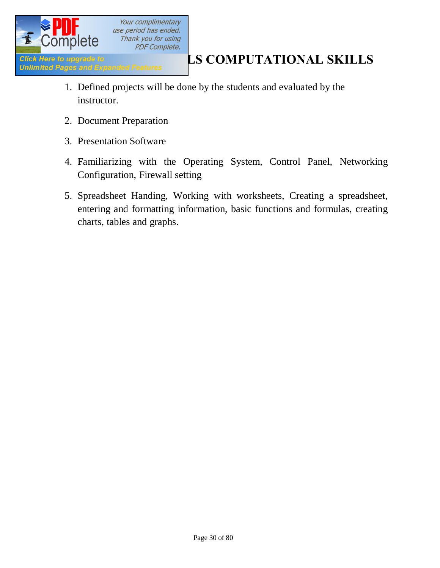

- 1. Defined projects will be done by the students and evaluated by the instructor.
- 2. Document Preparation
- 3. Presentation Software
- 4. Familiarizing with the Operating System, Control Panel, Networking Configuration, Firewall setting
- 5. Spreadsheet Handing, Working with worksheets, Creating a spreadsheet, entering and formatting information, basic functions and formulas, creating charts, tables and graphs.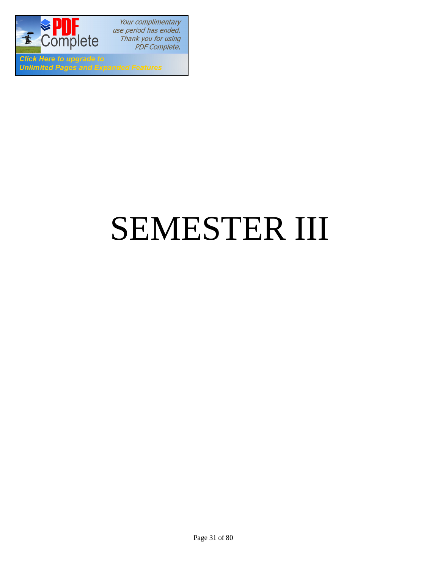

Your complimentary use period has ended. Thank you for using PDF Complete.

**Click Here to upgrade to Unlimited Pages and Expanded Features** 

# SEMESTER III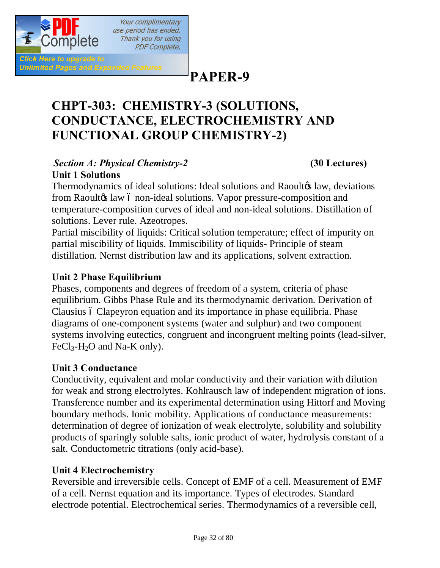

Click Here to upgrade to

**Unlimited Pages and Expanded Features** 

**PAPER-9**

# **CHPT-303: CHEMISTRY-3 (SOLUTIONS, CONDUCTANCE, ELECTROCHEMISTRY AND FUNCTIONAL GROUP CHEMISTRY-2)**

#### *Section A: Physical Chemistry-2* **(30 Lectures) Unit 1 Solutions**

Your complimentary use period has ended. Thank you for using **PDF Complete.** 

Thermodynamics of ideal solutions: Ideal solutions and Raoultos law, deviations from Raoulto law 6 non-ideal solutions. Vapor pressure-composition and temperature-composition curves of ideal and non-ideal solutions. Distillation of solutions. Lever rule. Azeotropes.

Partial miscibility of liquids: Critical solution temperature; effect of impurity on partial miscibility of liquids. Immiscibility of liquids- Principle of steam distillation. Nernst distribution law and its applications, solvent extraction.

### **Unit 2 Phase Equilibrium**

Phases, components and degrees of freedom of a system, criteria of phase equilibrium. Gibbs Phase Rule and its thermodynamic derivation. Derivation of Clausius ó Clapeyron equation and its importance in phase equilibria. Phase diagrams of one-component systems (water and sulphur) and two component systems involving eutectics, congruent and incongruent melting points (lead-silver,  $FeCl<sub>3</sub>-H<sub>2</sub>O$  and Na-K only).

#### **Unit 3 Conductance**

Conductivity, equivalent and molar conductivity and their variation with dilution for weak and strong electrolytes. Kohlrausch law of independent migration of ions. Transference number and its experimental determination using Hittorf and Moving boundary methods. Ionic mobility. Applications of conductance measurements: determination of degree of ionization of weak electrolyte, solubility and solubility products of sparingly soluble salts, ionic product of water, hydrolysis constant of a salt. Conductometric titrations (only acid-base).

#### **Unit 4 Electrochemistry**

Reversible and irreversible cells. Concept of EMF of a cell. Measurement of EMF of a cell. Nernst equation and its importance. Types of electrodes. Standard electrode potential. Electrochemical series. Thermodynamics of a reversible cell,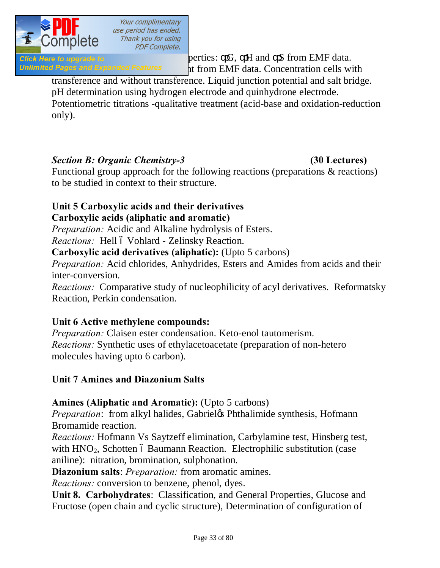

Click Here to upgrade to  $\rho$  berties:  $G$ ,  $H$  and  $S$  from EMF data. Unlimited Pages and Expanded Features 11 from EMF data. Concentration cells with

transference and without transference. Liquid junction potential and salt bridge. pH determination using hydrogen electrode and quinhydrone electrode. Potentiometric titrations -qualitative treatment (acid-base and oxidation-reduction

only).

#### *Section B: Organic Chemistry-3* **(30 Lectures)**

Functional group approach for the following reactions (preparations & reactions) to be studied in context to their structure.

## **Unit 5 Carboxylic acids and their derivatives**

#### **Carboxylic acids (aliphatic and aromatic)**

*Preparation:* Acidic and Alkaline hydrolysis of Esters.

*Reactions:* Hell ó Vohlard - Zelinsky Reaction.

**Carboxylic acid derivatives (aliphatic):** (Upto 5 carbons)

*Preparation:* Acid chlorides, Anhydrides, Esters and Amides from acids and their inter-conversion.

*Reactions:* Comparative study of nucleophilicity of acyl derivatives. Reformatsky Reaction, Perkin condensation.

#### **Unit 6 Active methylene compounds:**

*Preparation:* Claisen ester condensation. Keto-enol tautomerism. *Reactions:* Synthetic uses of ethylacetoacetate (preparation of non-hetero molecules having upto 6 carbon).

#### **Unit 7 Amines and Diazonium Salts**

#### **Amines (Aliphatic and Aromatic):** (Upto 5 carbons)

*Preparation*: from alkyl halides, Gabriel & Phthalimide synthesis, Hofmann Bromamide reaction.

*Reactions:* Hofmann Vs Saytzeff elimination, Carbylamine test, Hinsberg test, with HNO<sub>2</sub>, Schotten 6 Baumann Reaction. Electrophilic substitution (case aniline): nitration, bromination, sulphonation.

**Diazonium salts**: *Preparation:* from aromatic amines.

*Reactions:* conversion to benzene, phenol, dyes.

**Unit 8. Carbohydrates**: Classification, and General Properties, Glucose and Fructose (open chain and cyclic structure), Determination of configuration of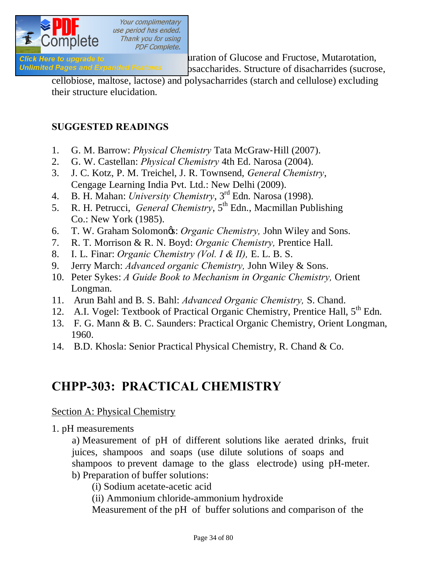

**Click Here to upgrade to non- monoclarides** absolute configuration of Glucose and Fructose, Mutarotation,

Unlimited Pages and Expanded Features osaccharides. Structure of disacharrides (sucrose,

cellobiose, maltose, lactose) and polysacharrides (starch and cellulose) excluding their structure elucidation.

#### **SUGGESTED READINGS**

- 1. G. M. Barrow: *Physical Chemistry* Tata McGraw‐Hill (2007).
- 2. G. W. Castellan: *Physical Chemistry* 4th Ed. Narosa (2004).
- 3. J. C. Kotz, P. M. Treichel, J. R. Townsend, *General Chemistry*, Cengage Learning India Pvt. Ltd.: New Delhi (2009).
- 4. B. H. Mahan: *University Chemistry*, 3rd Edn. Narosa (1998).
- 5. R. H. Petrucci, *General Chemistry*, 5<sup>th</sup> Edn., Macmillan Publishing Co.: New York (1985).
- 6. T. W. Graham Solomon's: *Organic Chemistry,* John Wiley and Sons.
- 7. R. T. Morrison & R. N. Boyd: *Organic Chemistry,* Prentice Hall.
- 8. I. L. Finar: *Organic Chemistry (Vol. I & II),* E. L. B. S.
- 9. Jerry March: *Advanced organic Chemistry,* John Wiley & Sons.
- 10. Peter Sykes: *A Guide Book to Mechanism in Organic Chemistry,* Orient Longman.
- 11. Arun Bahl and B. S. Bahl: *Advanced Organic Chemistry,* S. Chand.
- 12. A.I. Vogel: Textbook of Practical Organic Chemistry, Prentice Hall, 5<sup>th</sup> Edn.
- 13. F. G. Mann & B. C. Saunders: Practical Organic Chemistry, Orient Longman, 1960.
- 14. B.D. Khosla: Senior Practical Physical Chemistry, R. Chand & Co.

## **CHPP-303: PRACTICAL CHEMISTRY**

#### Section A: Physical Chemistry

1. pH measurements

a) Measurement of pH of different solutions like aerated drinks, fruit juices, shampoos and soaps (use dilute solutions of soaps and shampoos to prevent damage to the glass electrode) using pH-meter. b) Preparation of buffer solutions:

(i) Sodium acetate-acetic acid

(ii) Ammonium chloride-ammonium hydroxide

Measurement of the pH of buffer solutions and comparison of the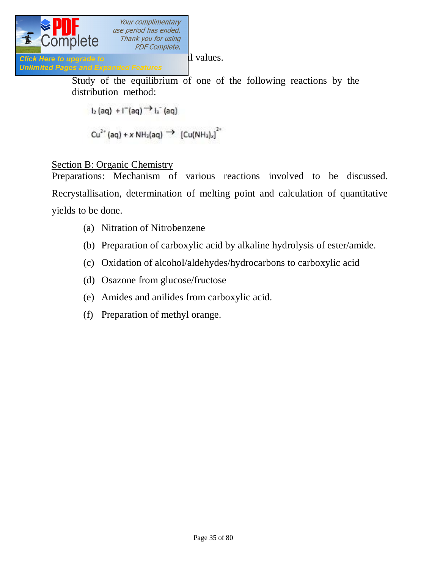

Study of the equilibrium of one of the following reactions by the distribution method:

$$
I_2(aq) + I^-(aq) \rightarrow I_3^-(aq)
$$

$$
Cu^{2+}(aq) + x NH_3(aq) \rightarrow [Cu(NH_3)_x]^{2+}
$$

#### Section B: Organic Chemistry

Preparations: Mechanism of various reactions involved to be discussed. Recrystallisation, determination of melting point and calculation of quantitative yields to be done.

- (a) Nitration of Nitrobenzene
- (b) Preparation of carboxylic acid by alkaline hydrolysis of ester/amide.
- (c) Oxidation of alcohol/aldehydes/hydrocarbons to carboxylic acid
- (d) Osazone from glucose/fructose
- (e) Amides and anilides from carboxylic acid.
- (f) Preparation of methyl orange.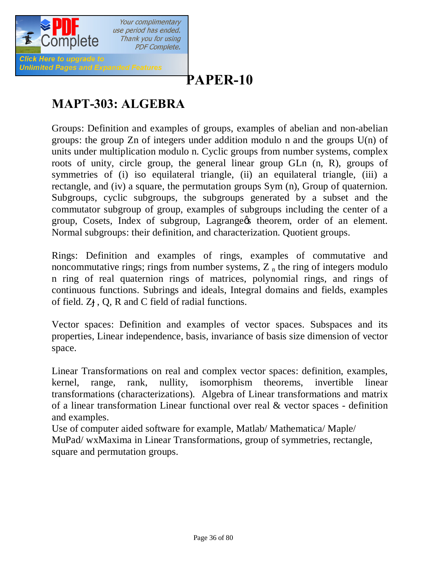

# **[P](http://www.pdfcomplete.com/cms/hppl/tabid/108/Default.aspx?r=q8b3uige22)APER-10**

# **MAPT-303: ALGEBRA**

Groups: Definition and examples of groups, examples of abelian and non-abelian groups: the group Zn of integers under addition modulo n and the groups U(n) of units under multiplication modulo n. Cyclic groups from number systems, complex roots of unity, circle group, the general linear group GLn (n, R), groups of symmetries of (i) iso equilateral triangle, (ii) an equilateral triangle, (iii) a rectangle, and (iv) a square, the permutation groups Sym (n), Group of quaternion. Subgroups, cyclic subgroups, the subgroups generated by a subset and the commutator subgroup of group, examples of subgroups including the center of a group, Cosets, Index of subgroup, Lagrange theorem, order of an element. Normal subgroups: their definition, and characterization. Quotient groups.

Rings: Definition and examples of rings, examples of commutative and noncommutative rings; rings from number systems,  $Z<sub>n</sub>$  the ring of integers modulo n ring of real quaternion rings of matrices, polynomial rings, and rings of continuous functions. Subrings and ideals, Integral domains and fields, examples of field. Z , Q, R and C field of radial functions.

Vector spaces: Definition and examples of vector spaces. Subspaces and its properties, Linear independence, basis, invariance of basis size dimension of vector space.

Linear Transformations on real and complex vector spaces: definition, examples, kernel, range, rank, nullity, isomorphism theorems, invertible linear transformations (characterizations). Algebra of Linear transformations and matrix of a linear transformation Linear functional over real & vector spaces - definition and examples.

Use of computer aided software for example, Matlab/ Mathematica/ Maple/ MuPad/ wxMaxima in Linear Transformations, group of symmetries, rectangle, square and permutation groups.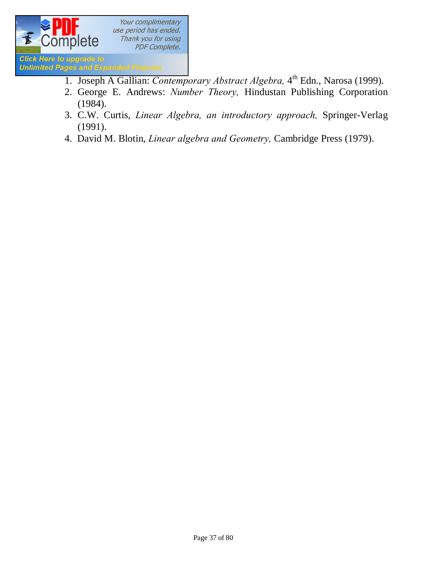

- 1. Joseph A Gallian: *Contemporary Abstract Algebra*, 4<sup>th</sup> Edn., Narosa (1999).
- 2. George E. Andrews: *Number Theory,* Hindustan Publishing Corporation (1984).
- 3. C.W. Curtis, *Linear Algebra, an introductory approach,* Springer-Verlag (1991).
- 4. David M. Blotin, *Linear algebra and Geometry,* Cambridge Press (1979).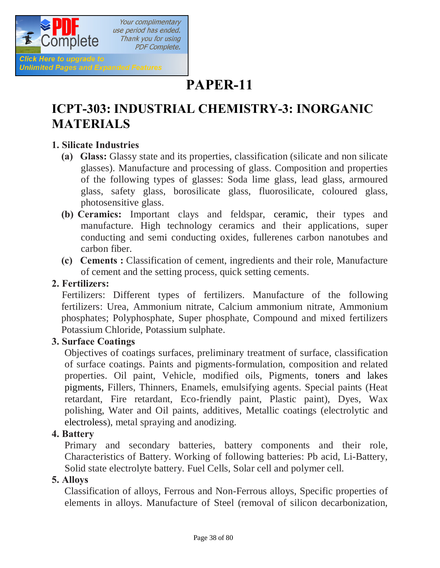

## **PAPER-11**

## **ICPT-303: INDUSTRIAL CHEMISTRY-3: INORGANIC MATERIALS**

### **1. Silicate Industries**

- **(a) Glass:** Glassy state and its properties, classification (silicate and non silicate glasses). Manufacture and processing of glass. Composition and properties of the following types of glasses: Soda lime glass, lead glass, armoured glass, safety glass, borosilicate glass, fluorosilicate, coloured glass, photosensitive glass.
- **(b) Ceramics:** Important clays and feldspar, ceramic, their types and manufacture. High technology ceramics and their applications, super conducting and semi conducting oxides, fullerenes carbon nanotubes and carbon fiber.
- **(c) Cements :** Classification of cement, ingredients and their role, Manufacture of cement and the setting process, quick setting cements.

### **2. Fertilizers:**

 Fertilizers: Different types of fertilizers. Manufacture of the following fertilizers: Urea, Ammonium nitrate, Calcium ammonium nitrate, Ammonium phosphates; Polyphosphate, Super phosphate, Compound and mixed fertilizers Potassium Chloride, Potassium sulphate.

### **3. Surface Coatings**

 Objectives of coatings surfaces, preliminary treatment of surface, classification of surface coatings. Paints and pigments-formulation, composition and related properties. Oil paint, Vehicle, modified oils, Pigments, toners and lakes pigments, Fillers, Thinners, Enamels, emulsifying agents. Special paints (Heat retardant, Fire retardant, Eco-friendly paint, Plastic paint), Dyes, Wax polishing, Water and Oil paints, additives, Metallic coatings (electrolytic and electroless), metal spraying and anodizing.

### **4. Battery**

 Primary and secondary batteries, battery components and their role, Characteristics of Battery. Working of following batteries: Pb acid, Li-Battery, Solid state electrolyte battery. Fuel Cells, Solar cell and polymer cell.

### **5. Alloys**

 Classification of alloys, Ferrous and Non-Ferrous alloys, Specific properties of elements in alloys. Manufacture of Steel (removal of silicon decarbonization,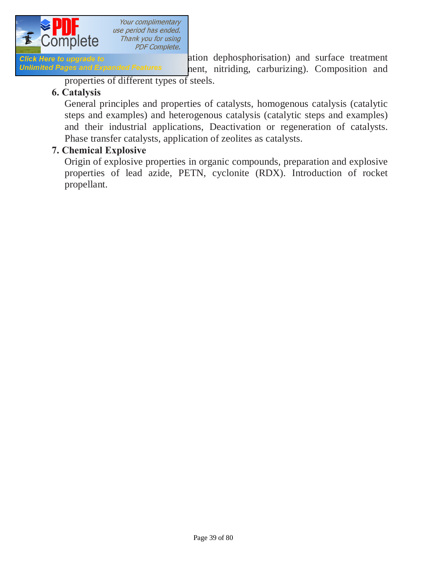

**Click Here to upgrade to ation** dephosphorisation) and surface treatment Unlimited Pages and Expanded Features hent, nitriding, carburizing). Composition and

properties of different types of steels.

### **6. Catalysis**

 General principles and properties of catalysts, homogenous catalysis (catalytic steps and examples) and heterogenous catalysis (catalytic steps and examples) and their industrial applications, Deactivation or regeneration of catalysts. Phase transfer catalysts, application of zeolites as catalysts.

### **7. Chemical Explosive**

 Origin of explosive properties in organic compounds, preparation and explosive properties of lead azide, PETN, cyclonite (RDX). Introduction of rocket propellant.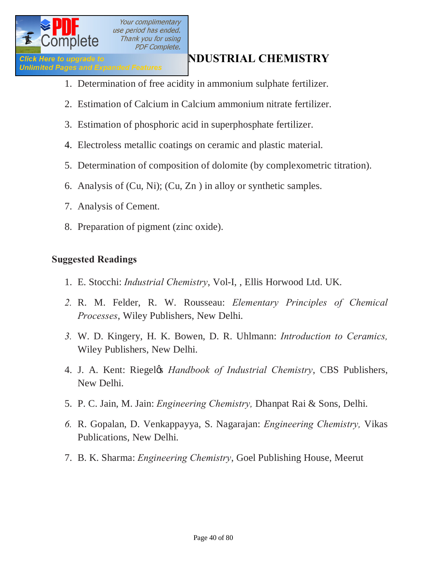

## **IClick Here to upgrade to**<br> **Inlimited Pages and Expanded Features**<br> **Inlimited Pages and Expanded Features**

- 1. Determination of free acidity in ammonium sulphate fertilizer.
- 2. Estimation of Calcium in Calcium ammonium nitrate fertilizer.
- 3. Estimation of phosphoric acid in superphosphate fertilizer.
- 4. Electroless metallic coatings on ceramic and plastic material.
- 5. Determination of composition of dolomite (by complexometric titration).
- 6. Analysis of (Cu, Ni); (Cu, Zn ) in alloy or synthetic samples.
- 7. Analysis of Cement.
- 8. Preparation of pigment (zinc oxide).

### **Suggested Readings**

- 1. E. Stocchi: *Industrial Chemistry*, Vol-I, , Ellis Horwood Ltd. UK.
- *2.* R. M. Felder, R. W. Rousseau: *Elementary Principles of Chemical Processes*, Wiley Publishers, New Delhi.
- *3.* W. D. Kingery, H. K. Bowen, D. R. Uhlmann: *Introduction to Ceramics,*  Wiley Publishers, New Delhi.
- 4. J. A. Kent: Riegel's *Handbook of Industrial Chemistry*, CBS Publishers, New Delhi.
- 5. P. C. Jain, M. Jain: *Engineering Chemistry,* Dhanpat Rai & Sons, Delhi.
- *6.* R. Gopalan, D. Venkappayya, S. Nagarajan: *Engineering Chemistry,* Vikas Publications, New Delhi.
- 7. B. K. Sharma: *Engineering Chemistry*, Goel Publishing House, Meerut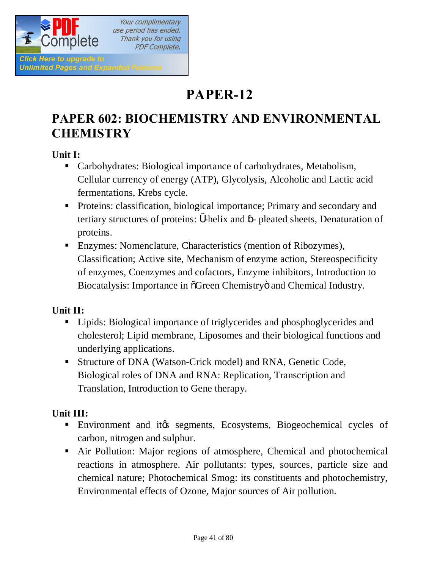

Your complimentary use period has ended. Thank you for using **PDF Complete.** 

## **PAPER-12**

## **PAPER 602: BIOCHEMISTRY AND ENVIRONMENTAL CHEMISTRY**

**Unit I:** 

- Carbohydrates: Biological importance of carbohydrates, Metabolism, Cellular currency of energy (ATP), Glycolysis, Alcoholic and Lactic acid fermentations, Krebs cycle.
- **•** Proteins: classification, biological importance; Primary and secondary and tertiary structures of proteins: -helix and - pleated sheets, Denaturation of proteins.
- Enzymes: Nomenclature, Characteristics (mention of Ribozymes), Classification; Active site, Mechanism of enzyme action, Stereospecificity of enzymes, Coenzymes and cofactors, Enzyme inhibitors, Introduction to Biocatalysis: Importance in  $\tilde{O}$ Green Chemistry $\ddot{O}$  and Chemical Industry.

### **Unit II:**

- Lipids: Biological importance of triglycerides and phosphoglycerides and cholesterol; Lipid membrane, Liposomes and their biological functions and underlying applications.
- **Structure of DNA (Watson-Crick model) and RNA, Genetic Code,** Biological roles of DNA and RNA: Replication, Transcription and Translation, Introduction to Gene therapy.

### **Unit III:**

- **Environment and it is segments, Ecosystems, Biogeochemical cycles of** carbon, nitrogen and sulphur.
- Air Pollution: Major regions of atmosphere, Chemical and photochemical reactions in atmosphere. Air pollutants: types, sources, particle size and chemical nature; Photochemical Smog: its constituents and photochemistry, Environmental effects of Ozone, Major sources of Air pollution.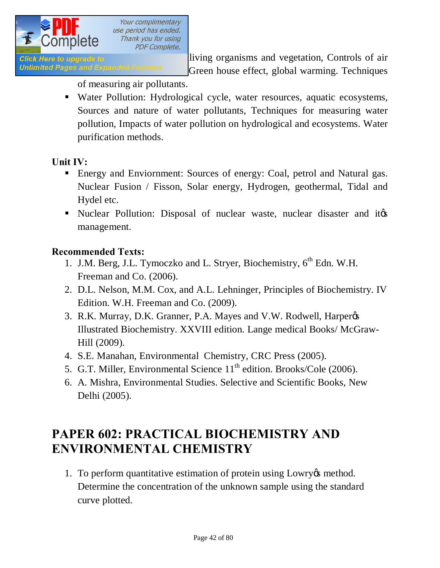

Click Here to upgrade to **Effect Strategier Click** living organisms and vegetation, Controls of air Unlimited Pages and Expanded Features Green house effect, global warming. Techniques

of measuring air pollutants.

• Water Pollution: Hydrological cycle, water resources, aquatic ecosystems, Sources and nature of water pollutants, Techniques for measuring water pollution, Impacts of water pollution on hydrological and ecosystems. Water purification methods.

### **Unit IV:**

- Energy and Enviornment: Sources of energy: Coal, petrol and Natural gas. Nuclear Fusion / Fisson, Solar energy, Hydrogen, geothermal, Tidal and Hydel etc.
- In Nuclear Pollution: Disposal of nuclear waste, nuclear disaster and ites management.

### **Recommended Texts:**

- 1. J.M. Berg, J.L. Tymoczko and L. Stryer, Biochemistry, 6<sup>th</sup> Edn. W.H. Freeman and Co. (2006).
- 2. D.L. Nelson, M.M. Cox, and A.L. Lehninger, Principles of Biochemistry. IV Edition. W.H. Freeman and Co. (2009).
- 3. R.K. Murray, D.K. Granner, P.A. Mayes and V.W. Rodwell, Harperøs Illustrated Biochemistry. XXVIII edition. Lange medical Books/ McGraw-Hill (2009).
- 4. S.E. Manahan, Environmental Chemistry, CRC Press (2005).
- 5. G.T. Miller, Environmental Science 11<sup>th</sup> edition. Brooks/Cole (2006).
- 6. A. Mishra, Environmental Studies. Selective and Scientific Books, New Delhi (2005).

## **PAPER 602: PRACTICAL BIOCHEMISTRY AND ENVIRONMENTAL CHEMISTRY**

1. To perform quantitative estimation of protein using Lowry & method. Determine the concentration of the unknown sample using the standard curve plotted.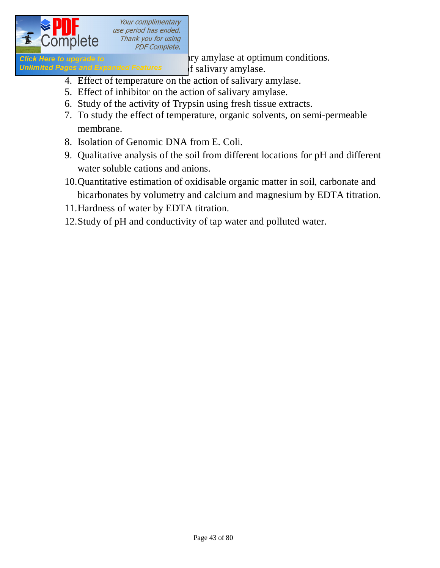

Unlimited Pages and Expanded Features of salivary amylase.

**Click Here to upgrade to salivary amylase at optimum conditions.** 

- 4. Effect of temperature on the action of salivary amylase.
- 5. Effect of inhibitor on the action of salivary amylase.
- 6. Study of the activity of Trypsin using fresh tissue extracts.
- 7. To study the effect of temperature, organic solvents, on semi-permeable membrane.
- 8. Isolation of Genomic DNA from E. Coli.
- 9. Qualitative analysis of the soil from different locations for pH and different water soluble cations and anions.
- 10.Quantitative estimation of oxidisable organic matter in soil, carbonate and bicarbonates by volumetry and calcium and magnesium by EDTA titration.
- 11.Hardness of water by EDTA titration.
- 12.Study of pH and conductivity of tap water and polluted water.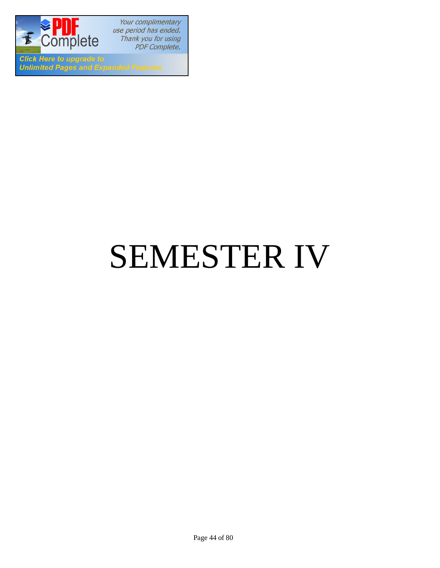

**Click Here to upgrade to Unlimited Pages and Expanded Features** 

# SEMESTER IV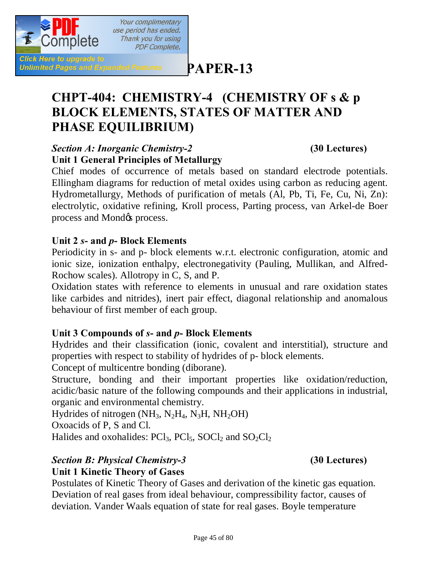

**[P](http://www.pdfcomplete.com/cms/hppl/tabid/108/Default.aspx?r=q8b3uige22)APER-13**

## **CHPT-404: CHEMISTRY-4 (CHEMISTRY OF s & p BLOCK ELEMENTS, STATES OF MATTER AND PHASE EQUILIBRIUM)**

### *Section A: Inorganic Chemistry-2* **(30 Lectures) Unit 1 General Principles of Metallurgy**

Chief modes of occurrence of metals based on standard electrode potentials. Ellingham diagrams for reduction of metal oxides using carbon as reducing agent. Hydrometallurgy, Methods of purification of metals (Al, Pb, Ti, Fe, Cu, Ni, Zn): electrolytic, oxidative refining, Kroll process, Parting process, van Arkel-de Boer process and Mond $\alpha$  process.

### **Unit 2** *s***- and** *p***- Block Elements**

Periodicity in s- and p- block elements w.r.t. electronic configuration, atomic and ionic size, ionization enthalpy, electronegativity (Pauling, Mullikan, and Alfred-Rochow scales). Allotropy in C, S, and P.

Oxidation states with reference to elements in unusual and rare oxidation states like carbides and nitrides), inert pair effect, diagonal relationship and anomalous behaviour of first member of each group.

### **Unit 3 Compounds of** *s***- and** *p***- Block Elements**

Hydrides and their classification (ionic, covalent and interstitial), structure and properties with respect to stability of hydrides of p- block elements.

Concept of multicentre bonding (diborane).

Structure, bonding and their important properties like oxidation/reduction, acidic/basic nature of the following compounds and their applications in industrial, organic and environmental chemistry.

Hydrides of nitrogen  $(NH_3, N_2H_4, N_3H, NH_2OH)$ 

Oxoacids of P, S and Cl.

Halides and oxohalides:  $PCl_3$ ,  $PCl_5$ ,  $SOCl_2$  and  $SO_2Cl_2$ 

### *Section B: Physical Chemistry-3* **(30 Lectures)**

**Unit 1 Kinetic Theory of Gases**

Postulates of Kinetic Theory of Gases and derivation of the kinetic gas equation. Deviation of real gases from ideal behaviour, compressibility factor, causes of deviation. Vander Waals equation of state for real gases. Boyle temperature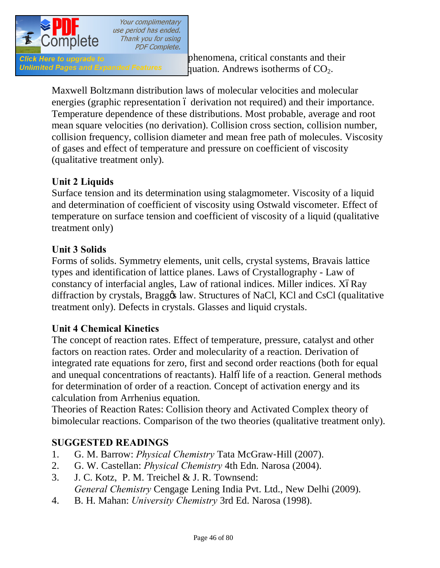

Unlimited Pages and Expanded Features quation. Andrews isotherms of  $CO<sub>2</sub>$ .

Maxwell Boltzmann distribution laws of molecular velocities and molecular energies (graphic representation 6 derivation not required) and their importance. Temperature dependence of these distributions. Most probable, average and root mean square velocities (no derivation). Collision cross section, collision number, collision frequency, collision diameter and mean free path of molecules. Viscosity of gases and effect of temperature and pressure on coefficient of viscosity (qualitative treatment only).

### **Unit 2 Liquids**

Surface tension and its determination using stalagmometer. Viscosity of a liquid and determination of coefficient of viscosity using Ostwald viscometer. Effect of temperature on surface tension and coefficient of viscosity of a liquid (qualitative treatment only)

### **Unit 3 Solids**

Forms of solids. Symmetry elements, unit cells, crystal systems, Bravais lattice types and identification of lattice planes. Laws of Crystallography - Law of constancy of interfacial angles, Law of rational indices. Miller indices. XóRay diffraction by crystals, Braggos law. Structures of NaCl, KCl and CsCl (qualitative treatment only). Defects in crystals. Glasses and liquid crystals.

### **Unit 4 Chemical Kinetics**

The concept of reaction rates. Effect of temperature, pressure, catalyst and other factors on reaction rates. Order and molecularity of a reaction. Derivation of integrated rate equations for zero, first and second order reactions (both for equal and unequal concentrations of reactants). Halfólife of a reaction. General methods for determination of order of a reaction. Concept of activation energy and its calculation from Arrhenius equation.

Theories of Reaction Rates: Collision theory and Activated Complex theory of bimolecular reactions. Comparison of the two theories (qualitative treatment only).

### **SUGGESTED READINGS**

- 1. G. M. Barrow: *Physical Chemistry* Tata McGraw‐Hill (2007).
- 2. G. W. Castellan: *Physical Chemistry* 4th Edn. Narosa (2004).
- 3. J. C. Kotz, P. M. Treichel & J. R. Townsend: *General Chemistry* Cengage Lening India Pvt. Ltd., New Delhi (2009).
- 4. B. H. Mahan: *University Chemistry* 3rd Ed. Narosa (1998).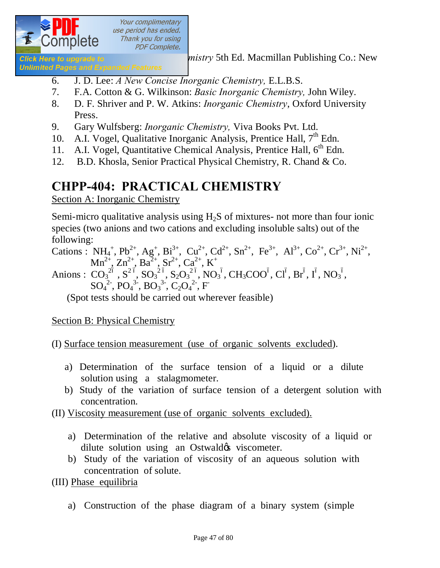

**Glick Here to upgrade to** *mistry* 5th Ed. Macmillan Publishing Co.: New

**Unlimited Pages and Expanded Features** 

- 6. J. D. Lee: *A New Concise Inorganic Chemistry,* E.L.B.S.
- 7. F.A. Cotton & G. Wilkinson: *Basic Inorganic Chemistry,* John Wiley.
- 8. D. F. Shriver and P. W. Atkins: *Inorganic Chemistry*, Oxford University Press.
- 9. Gary Wulfsberg: *Inorganic Chemistry,* Viva Books Pvt. Ltd.
- 10. A.I. Vogel, Qualitative Inorganic Analysis, Prentice Hall,  $7<sup>th</sup>$  Edn.
- 11. A.I. Vogel, Quantitative Chemical Analysis, Prentice Hall, 6<sup>th</sup> Edn.
- 12. B.D. Khosla, Senior Practical Physical Chemistry, R. Chand & Co.

## **CHPP-404: PRACTICAL CHEMISTRY**

Section A: Inorganic Chemistry

Semi-micro qualitative analysis using  $H<sub>2</sub>S$  of mixtures- not more than four ionic species (two anions and two cations and excluding insoluble salts) out of the following:

Cations :  $NH_4^+$ ,  $Pb^{2+}$ ,  $Ag^+$ ,  $Bi^{3+}$ ,  $Cu^{2+}$ ,  $Cd^{2+}$ ,  $Sn^{2+}$ ,  $Fe^{3+}$ ,  $Al^{3+}$ ,  $Co^{2+}$ ,  $Cr^{3+}$ ,  $Ni^{2+}$ ,  $Mn^{2+}, Zn^{2+}, Ba^{2+}, Sr^{2+}, Ca^{2+}, K^+$ Anions :  $CO_3^{26}$ ,  $S^2^{6}$ ,  $SO_3^{26}$ ,  $S_2O_3^{26}$ ,  $NO_3^6$ ,  $CH_3COO^6$ ,  $Cl^6$ ,  $Br^6$ ,  $I^6$ ,  $NO_3^6$ ,  $SO_4^2$ <sup>2</sup>,  $PO_4^3$ <sup>3</sup>,  $BO_3^3$ <sup>3</sup>,  $C_2O_4^2$ <sup>2</sup>, F

(Spot tests should be carried out wherever feasible)

Section B: Physical Chemistry

(I) Surface tension measurement (use of organic solvents excluded).

- a) Determination of the surface tension of a liquid or a dilute solution using a stalagmometer.
- b) Study of the variation of surface tension of a detergent solution with concentration.
- (II) Viscosity measurement (use of organic solvents excluded).
	- a) Determination of the relative and absolute viscosity of a liquid or dilute solution using an Ostwald & viscometer.
	- b) Study of the variation of viscosity of an aqueous solution with concentration of solute.

(III) Phase equilibria

a) Construction of the phase diagram of a binary system (simple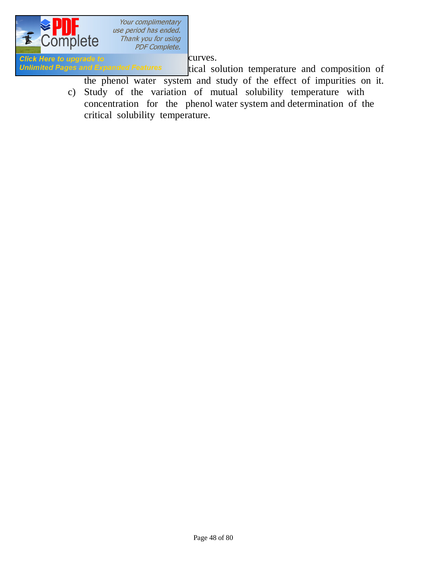

Click Here to upgrade to entitled curves.<br>
Unlimited Pages and Expanded Features tical so

tical solution temperature and composition of the phenol water system and study of the effect of impurities on it.

c) Study of the variation of mutual solubility temperature with concentration for the phenol water system and determination of the critical solubility temperature.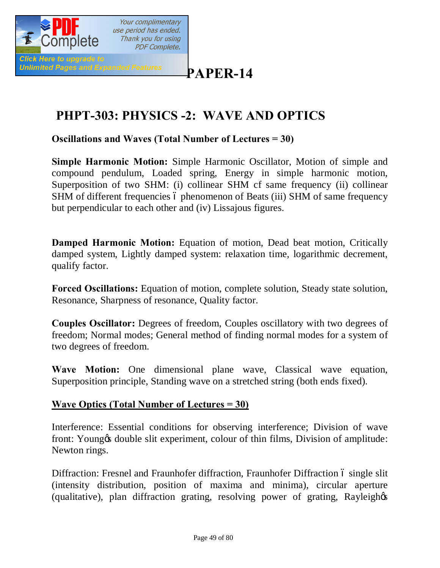

## **[P](http://www.pdfcomplete.com/cms/hppl/tabid/108/Default.aspx?r=q8b3uige22)APER-14**

## **PHPT-303: PHYSICS -2: WAVE AND OPTICS**

**Oscillations and Waves (Total Number of Lectures = 30)**

**Simple Harmonic Motion:** Simple Harmonic Oscillator, Motion of simple and compound pendulum, Loaded spring, Energy in simple harmonic motion, Superposition of two SHM: (i) collinear SHM cf same frequency (ii) collinear SHM of different frequencies 6 phenomenon of Beats (iii) SHM of same frequency but perpendicular to each other and (iv) Lissajous figures.

**Damped Harmonic Motion:** Equation of motion, Dead beat motion, Critically damped system, Lightly damped system: relaxation time, logarithmic decrement, qualify factor.

**Forced Oscillations:** Equation of motion, complete solution, Steady state solution, Resonance, Sharpness of resonance, Quality factor.

**Couples Oscillator:** Degrees of freedom, Couples oscillatory with two degrees of freedom; Normal modes; General method of finding normal modes for a system of two degrees of freedom.

**Wave Motion:** One dimensional plane wave, Classical wave equation, Superposition principle, Standing wave on a stretched string (both ends fixed).

### **Wave Optics (Total Number of Lectures = 30)**

Interference: Essential conditions for observing interference; Division of wave front: Young & double slit experiment, colour of thin films, Division of amplitude: Newton rings.

Diffraction: Fresnel and Fraunhofer diffraction, Fraunhofer Diffraction 6 single slit (intensity distribution, position of maxima and minima), circular aperture (qualitative), plan diffraction grating, resolving power of grating, Rayleigh&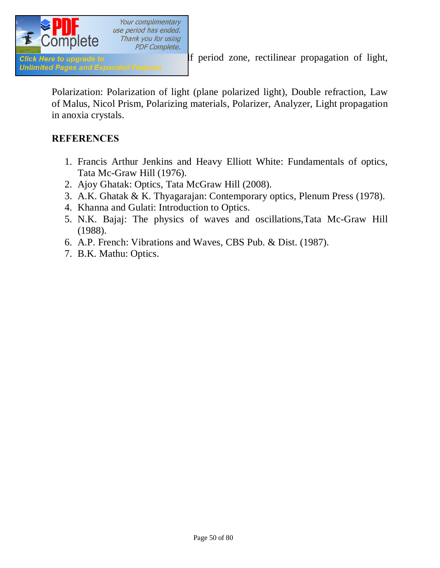

Polarization: Polarization of light (plane polarized light), Double refraction, Law of Malus, Nicol Prism, Polarizing materials, Polarizer, Analyzer, Light propagation in anoxia crystals.

### **REFERENCES**

- 1. Francis Arthur Jenkins and Heavy Elliott White: Fundamentals of optics, Tata Mc-Graw Hill (1976).
- 2. Ajoy Ghatak: Optics, Tata McGraw Hill (2008).
- 3. A.K. Ghatak & K. Thyagarajan: Contemporary optics, Plenum Press (1978).
- 4. Khanna and Gulati: Introduction to Optics.
- 5. N.K. Bajaj: The physics of waves and oscillations,Tata Mc-Graw Hill (1988).
- 6. A.P. French: Vibrations and Waves, CBS Pub. & Dist. (1987).
- 7. B.K. Mathu: Optics.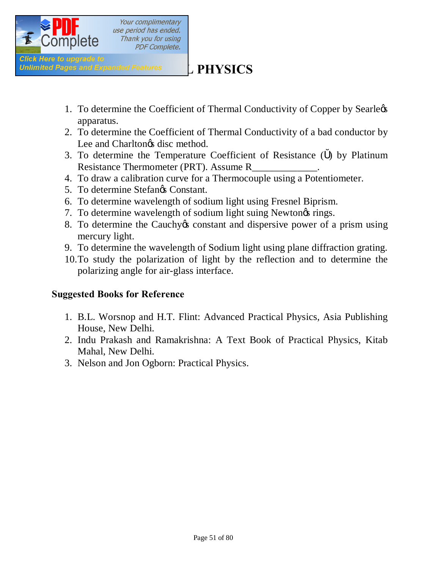

## **Unlimited Pages and Expanded Features L** PHYSICS

- 1. To determine the Coefficient of Thermal Conductivity of Copper by Searlegs apparatus.
- 2. To determine the Coefficient of Thermal Conductivity of a bad conductor by Lee and Charlton $\alpha$ s disc method.
- 3. To determine the Temperature Coefficient of Resistance ( ) by Platinum Resistance Thermometer (PRT). Assume R\_
- 4. To draw a calibration curve for a Thermocouple using a Potentiometer.
- 5. To determine Stefangs Constant.
- 6. To determine wavelength of sodium light using Fresnel Biprism.
- 7. To determine wavelength of sodium light suing Newton<sub>of</sub> rings.
- 8. To determine the Cauchy to constant and dispersive power of a prism using mercury light.
- 9. To determine the wavelength of Sodium light using plane diffraction grating.
- 10.To study the polarization of light by the reflection and to determine the polarizing angle for air-glass interface.

### **Suggested Books for Reference**

- 1. B.L. Worsnop and H.T. Flint: Advanced Practical Physics, Asia Publishing House, New Delhi.
- 2. Indu Prakash and Ramakrishna: A Text Book of Practical Physics, Kitab Mahal, New Delhi.
- 3. Nelson and Jon Ogborn: Practical Physics.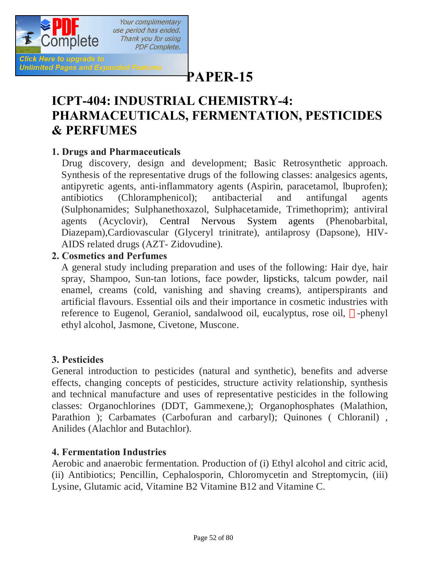

## **[P](http://www.pdfcomplete.com/cms/hppl/tabid/108/Default.aspx?r=q8b3uige22)APER-15**

## **ICPT-404: INDUSTRIAL CHEMISTRY-4: PHARMACEUTICALS, FERMENTATION, PESTICIDES & PERFUMES**

### **1. Drugs and Pharmaceuticals**

 Drug discovery, design and development; Basic Retrosynthetic approach. Synthesis of the representative drugs of the following classes: analgesics agents, antipyretic agents, anti-inflammatory agents (Aspirin, paracetamol, lbuprofen); antibiotics (Chloramphenicol); antibacterial and antifungal agents (Sulphonamides; Sulphanethoxazol, Sulphacetamide, Trimethoprim); antiviral agents (Acyclovir), Central Nervous System agents (Phenobarbital, Diazepam),Cardiovascular (Glyceryl trinitrate), antilaprosy (Dapsone), HIV-AIDS related drugs (AZT- Zidovudine).

### **2. Cosmetics and Perfumes**

A general study including preparation and uses of the following: Hair dye, hair spray, Shampoo, Sun-tan lotions, face powder, lipsticks, talcum powder, nail enamel, creams (cold, vanishing and shaving creams), antiperspirants and artificial flavours. Essential oils and their importance in cosmetic industries with reference to Eugenol, Geraniol, sandalwood oil, eucalyptus, rose oil, -phenyl ethyl alcohol, Jasmone, Civetone, Muscone.

### **3. Pesticides**

General introduction to pesticides (natural and synthetic), benefits and adverse effects, changing concepts of pesticides, structure activity relationship, synthesis and technical manufacture and uses of representative pesticides in the following classes: Organochlorines (DDT, Gammexene,); Organophosphates (Malathion, Parathion ); Carbamates (Carbofuran and carbaryl); Quinones ( Chloranil), Anilides (Alachlor and Butachlor).

### **4. Fermentation Industries**

Aerobic and anaerobic fermentation. Production of (i) Ethyl alcohol and citric acid, (ii) Antibiotics; Pencillin, Cephalosporin, Chloromycetin and Streptomycin, (iii) Lysine, Glutamic acid, Vitamine B2 Vitamine B12 and Vitamine C.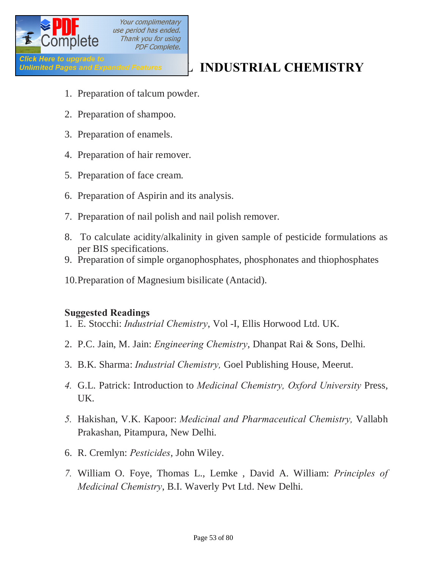

## Click Here to upgrade to<br>Unlimited Pages and Expanded Features **Expanded Features Expanditures**

- 1. Preparation of talcum powder.
- 2. Preparation of shampoo.
- 3. Preparation of enamels.
- 4. Preparation of hair remover.
- 5. Preparation of face cream.
- 6. Preparation of Aspirin and its analysis.
- 7. Preparation of nail polish and nail polish remover.
- 8. To calculate acidity/alkalinity in given sample of pesticide formulations as per BIS specifications.
- 9. Preparation of simple organophosphates, phosphonates and thiophosphates
- 10.Preparation of Magnesium bisilicate (Antacid).

### **Suggested Readings**

- 1. E. Stocchi: *Industrial Chemistry*, Vol -I, Ellis Horwood Ltd. UK.
- 2. P.C. Jain, M. Jain: *Engineering Chemistry*, Dhanpat Rai & Sons, Delhi.
- 3. B.K. Sharma: *Industrial Chemistry,* Goel Publishing House, Meerut.
- *4.* G.L. Patrick: Introduction to *Medicinal Chemistry, Oxford University* Press, UK.
- *5.* Hakishan, V.K. Kapoor: *Medicinal and Pharmaceutical Chemistry,* Vallabh Prakashan, Pitampura, New Delhi.
- 6. R. Cremlyn: *Pesticides*, John Wiley.
- *7.* William O. Foye, Thomas L., Lemke , David A. William: *Principles of Medicinal Chemistry*, B.I. Waverly Pvt Ltd. New Delhi.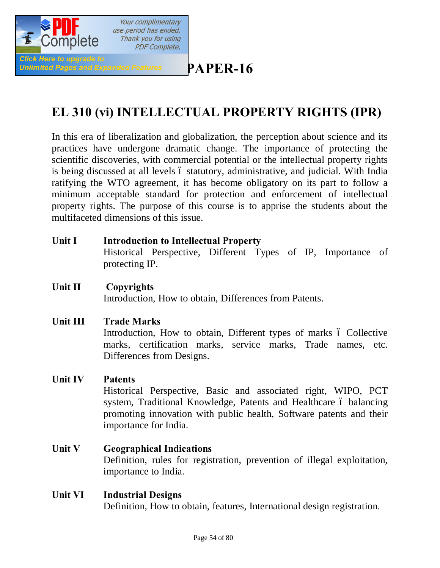

## **[P](http://www.pdfcomplete.com/cms/hppl/tabid/108/Default.aspx?r=q8b3uige22)APER-16**

## **EL 310 (vi) INTELLECTUAL PROPERTY RIGHTS (IPR)**

In this era of liberalization and globalization, the perception about science and its practices have undergone dramatic change. The importance of protecting the scientific discoveries, with commercial potential or the intellectual property rights is being discussed at all levels  $\acute{o}$  statutory, administrative, and judicial. With India ratifying the WTO agreement, it has become obligatory on its part to follow a minimum acceptable standard for protection and enforcement of intellectual property rights. The purpose of this course is to apprise the students about the multifaceted dimensions of this issue.

| <b>Unit I</b> | <b>Introduction to Intellectual Property</b> |                                                              |  |  |  |  |  |  |
|---------------|----------------------------------------------|--------------------------------------------------------------|--|--|--|--|--|--|
|               |                                              | Historical Perspective, Different Types of IP, Importance of |  |  |  |  |  |  |
|               | protecting IP.                               |                                                              |  |  |  |  |  |  |

### **Unit II Copyrights** Introduction, How to obtain, Differences from Patents.

### **Unit III Trade Marks**

Introduction, How to obtain, Different types of marks  $\acute{o}$  Collective marks, certification marks, service marks, Trade names, etc. Differences from Designs.

### **Unit IV Patents**

Historical Perspective, Basic and associated right, WIPO, PCT system, Traditional Knowledge, Patents and Healthcare 6 balancing promoting innovation with public health, Software patents and their importance for India.

### **Unit V Geographical Indications**  Definition, rules for registration, prevention of illegal exploitation, importance to India.

### **Unit VI Industrial Designs** Definition, How to obtain, features, International design registration.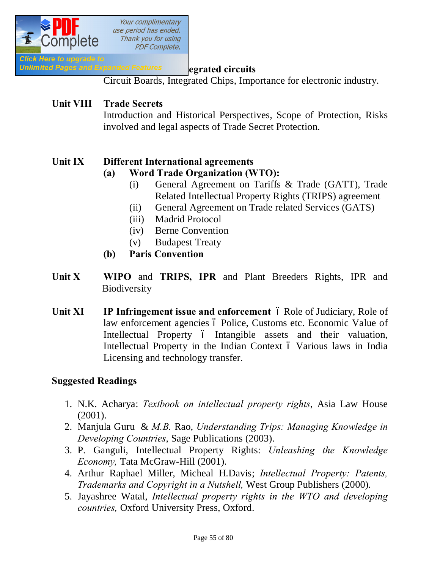

### **Unlimited Pages and Expanded Features egrated circuits**

Circuit Boards, Integrated Chips, Importance for electronic industry.

### **Unit VIII Trade Secrets**

Introduction and Historical Perspectives, Scope of Protection, Risks involved and legal aspects of Trade Secret Protection.

### **Unit IX Different International agreements**

### **(a) Word Trade Organization (WTO):**

- (i) General Agreement on Tariffs & Trade (GATT), Trade Related Intellectual Property Rights (TRIPS) agreement
- (ii) General Agreement on Trade related Services (GATS)
- (iii) Madrid Protocol
- (iv) Berne Convention
- (v) Budapest Treaty
- **(b) Paris Convention**
- **Unit X WIPO** and **TRIPS, IPR** and Plant Breeders Rights, IPR and **Biodiversity**
- **Unit XI IP Infringement issue and enforcement** 6 Role of Judiciary, Role of law enforcement agencies ó Police, Customs etc. Economic Value of Intellectual Property 6 Intangible assets and their valuation, Intellectual Property in the Indian Context  $\acute{o}$  Various laws in India Licensing and technology transfer.

### **Suggested Readings**

- 1. N.K. Acharya: *Textbook on intellectual property rights*, Asia Law House (2001).
- 2. Manjula Guru & *M.B.* Rao, *Understanding Trips: Managing Knowledge in Developing Countries*, Sage Publications (2003).
- 3. P. Ganguli, Intellectual Property Rights: *Unleashing the Knowledge Economy,* Tata McGraw-Hill (2001).
- 4. Arthur Raphael Miller, Micheal H.Davis; *Intellectual Property: Patents, Trademarks and Copyright in a Nutshell,* West Group Publishers (2000).
- 5. Jayashree Watal, *Intellectual property rights in the WTO and developing countries,* Oxford University Press, Oxford.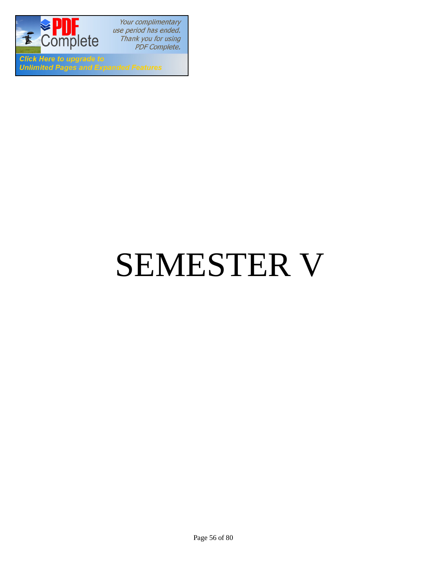

**Click Here to upgrade to Unlimited Pages and Expanded Features** 

# SEMESTER V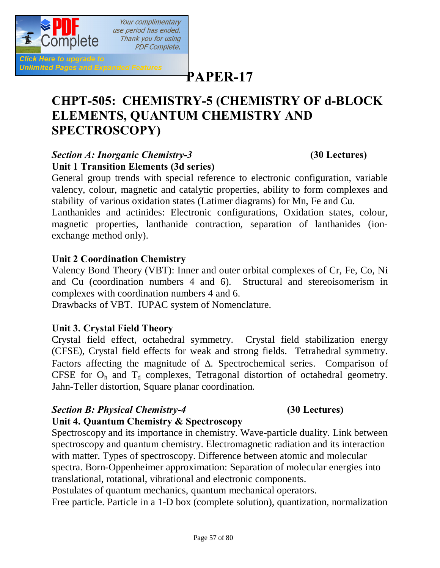

**Click Here to upgrade to Unlimited Pages and Expanded Features** 

## **[P](http://www.pdfcomplete.com/cms/hppl/tabid/108/Default.aspx?r=q8b3uige22)APER-17**

## **CHPT-505: CHEMISTRY-5 (CHEMISTRY OF d-BLOCK ELEMENTS, QUANTUM CHEMISTRY AND SPECTROSCOPY)**

### *Section A: Inorganic Chemistry-3* **(30 Lectures) Unit 1 Transition Elements (3d series)**

Your complimentary

Thank you for using **PDF Complete.** 

General group trends with special reference to electronic configuration, variable valency, colour, magnetic and catalytic properties, ability to form complexes and stability of various oxidation states (Latimer diagrams) for Mn, Fe and Cu.

Lanthanides and actinides: Electronic configurations, Oxidation states, colour, magnetic properties, lanthanide contraction, separation of lanthanides (ionexchange method only).

### **Unit 2 Coordination Chemistry**

Valency Bond Theory (VBT): Inner and outer orbital complexes of Cr, Fe, Co, Ni and Cu (coordination numbers 4 and 6). Structural and stereoisomerism in complexes with coordination numbers 4 and 6.

Drawbacks of VBT. IUPAC system of Nomenclature.

### **Unit 3. Crystal Field Theory**

Crystal field effect, octahedral symmetry. Crystal field stabilization energy (CFSE), Crystal field effects for weak and strong fields. Tetrahedral symmetry. Factors affecting the magnitude of  $\Delta$ . Spectrochemical series. Comparison of CFSE for  $O_h$  and  $T_d$  complexes, Tetragonal distortion of octahedral geometry. Jahn-Teller distortion, Square planar coordination.

### *Section B: Physical Chemistry-4* **(30 Lectures)**

### **Unit 4. Quantum Chemistry & Spectroscopy**

Spectroscopy and its importance in chemistry. Wave-particle duality. Link between spectroscopy and quantum chemistry. Electromagnetic radiation and its interaction with matter. Types of spectroscopy. Difference between atomic and molecular spectra. Born-Oppenheimer approximation: Separation of molecular energies into translational, rotational, vibrational and electronic components.

Postulates of quantum mechanics, quantum mechanical operators.

Free particle. Particle in a 1-D box (complete solution), quantization, normalization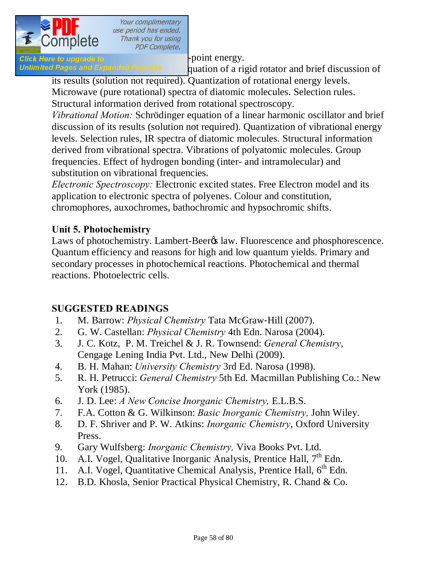

Click Here to upgrade to  $\blacksquare$ 

*Unlimited Pages and Expanded Features* quation of a rigid rotator and brief discussion of its results (solution not required). Quantization of rotational energy levels.

Microwave (pure rotational) spectra of diatomic molecules. Selection rules. Structural information derived from rotational spectroscopy.

*Vibrational Motion:* Schrödinger equation of a linear harmonic oscillator and brief discussion of its results (solution not required). Quantization of vibrational energy levels. Selection rules, IR spectra of diatomic molecules. Structural information derived from vibrational spectra. Vibrations of polyatomic molecules. Group frequencies. Effect of hydrogen bonding (inter- and intramolecular) and substitution on vibrational frequencies.

*Electronic Spectroscopy:* Electronic excited states. Free Electron model and its application to electronic spectra of polyenes. Colour and constitution, chromophores, auxochromes, bathochromic and hypsochromic shifts.

### **Unit 5. Photochemistry**

Laws of photochemistry. Lambert-Beer<sub>%</sub> law. Fluorescence and phosphorescence. Quantum efficiency and reasons for high and low quantum yields. Primary and secondary processes in photochemical reactions. Photochemical and thermal reactions. Photoelectric cells.

### **SUGGESTED READINGS**

- 1. M. Barrow: *Physical Chemistry* Tata McGraw‐Hill (2007).
- 2. G. W. Castellan: *Physical Chemistry* 4th Edn. Narosa (2004).
- 3. J. C. Kotz, P. M. Treichel & J. R. Townsend: *General Chemistry*, Cengage Lening India Pvt. Ltd., New Delhi (2009).
- 4. B. H. Mahan: *University Chemistry* 3rd Ed. Narosa (1998).
- 5. R. H. Petrucci: *General Chemistry* 5th Ed. Macmillan Publishing Co.: New York (1985).
- 6. J. D. Lee: *A New Concise Inorganic Chemistry,* E.L.B.S.
- 7. F.A. Cotton & G. Wilkinson: *Basic Inorganic Chemistry,* John Wiley.
- 8. D. F. Shriver and P. W. Atkins: *Inorganic Chemistry*, Oxford University Press.
- 9. Gary Wulfsberg: *Inorganic Chemistry,* Viva Books Pvt. Ltd.
- 10. A.I. Vogel, Qualitative Inorganic Analysis, Prentice Hall,  $7<sup>th</sup>$  Edn.
- 11. A.I. Vogel, Quantitative Chemical Analysis, Prentice Hall,  $6<sup>th</sup>$  Edn.
- 12. B.D. Khosla, Senior Practical Physical Chemistry, R. Chand & Co.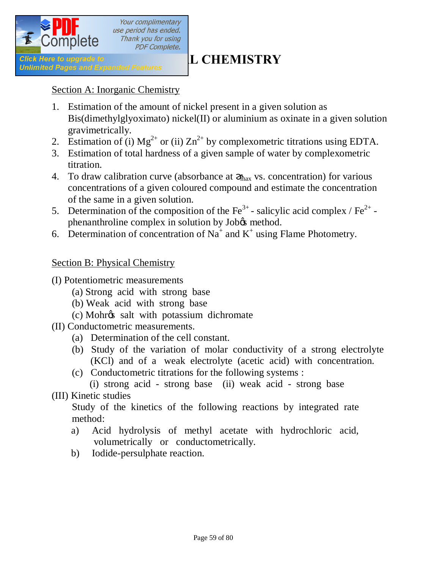

### Section A: Inorganic Chemistry

- 1. Estimation of the amount of nickel present in a given solution as Bis(dimethylglyoximato) nickel(II) or aluminium as oxinate in a given solution gravimetrically.
- 2. Estimation of (i)  $Mg^{2+}$  or (ii)  $Zn^{2+}$  by complexometric titrations using EDTA.
- 3. Estimation of total hardness of a given sample of water by complexometric titration.
- 4. To draw calibration curve (absorbance at  $_{\text{max}}$  vs. concentration) for various concentrations of a given coloured compound and estimate the concentration of the same in a given solution.
- 5. Determination of the composition of the  $\text{Fe}^{3+}$ -salicylic acid complex /  $\text{Fe}^{2+}$ phenanthroline complex in solution by Job $\alpha$  method.
- 6. Determination of concentration of Na<sup>+</sup> and K<sup>+</sup> using Flame Photometry.

### Section B: Physical Chemistry

- (I) Potentiometric measurements
	- (a) Strong acid with strong base
	- (b) Weak acid with strong base
	- (c) Mohr's salt with potassium dichromate
- (II) Conductometric measurements.
	- (a) Determination of the cell constant.
	- (b) Study of the variation of molar conductivity of a strong electrolyte (KCl) and of a weak electrolyte (acetic acid) with concentration.
	- (c) Conductometric titrations for the following systems :

 (i) strong acid - strong base (ii) weak acid - strong base (III) Kinetic studies

Study of the kinetics of the following reactions by integrated rate method:

- a) Acid hydrolysis of methyl acetate with hydrochloric acid, volumetrically or conductometrically.
- b) Iodide-persulphate reaction.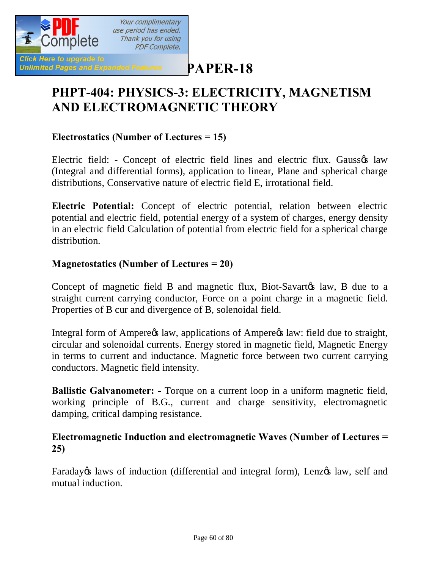

**[P](http://www.pdfcomplete.com/cms/hppl/tabid/108/Default.aspx?r=q8b3uige22)APER-18**

## **PHPT-404: PHYSICS-3: ELECTRICITY, MAGNETISM AND ELECTROMAGNETIC THEORY**

### **Electrostatics (Number of Lectures = 15)**

Electric field: - Concept of electric field lines and electric flux. Gaussos law (Integral and differential forms), application to linear, Plane and spherical charge distributions, Conservative nature of electric field E, irrotational field.

**Electric Potential:** Concept of electric potential, relation between electric potential and electric field, potential energy of a system of charges, energy density in an electric field Calculation of potential from electric field for a spherical charge distribution.

### **Magnetostatics (Number of Lectures = 20)**

Concept of magnetic field B and magnetic flux, Biot-Savarto alaw, B due to a straight current carrying conductor, Force on a point charge in a magnetic field. Properties of B cur and divergence of B, solenoidal field.

Integral form of Ampere $\alpha$  law, applications of Ampere $\alpha$  law: field due to straight, circular and solenoidal currents. Energy stored in magnetic field, Magnetic Energy in terms to current and inductance. Magnetic force between two current carrying conductors. Magnetic field intensity.

**Ballistic Galvanometer: -** Torque on a current loop in a uniform magnetic field, working principle of B.G., current and charge sensitivity, electromagnetic damping, critical damping resistance.

### **Electromagnetic Induction and electromagnetic Waves (Number of Lectures = 25)**

Faraday is laws of induction (differential and integral form), Lenz is law, self and mutual induction.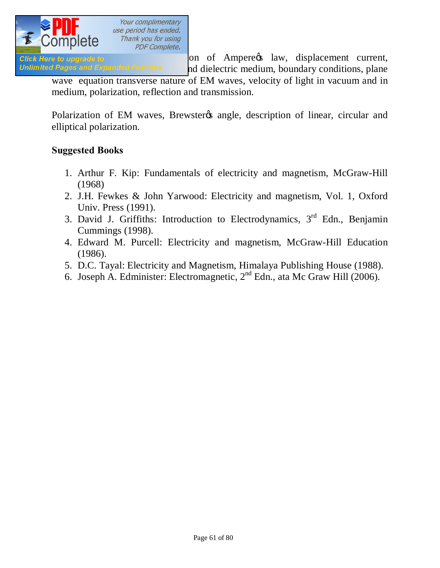

Click Here to upgrade to **Exercise 2018** on of Ampere's law, displacement current, Unlimited Pages and Expanded Features and dielectric medium, boundary conditions, plane

wave equation transverse nature of EM waves, velocity of light in vacuum and in medium, polarization, reflection and transmission.

Polarization of EM waves, Brewster & angle, description of linear, circular and elliptical polarization.

### **Suggested Books**

- 1. Arthur F. Kip: Fundamentals of electricity and magnetism, McGraw-Hill (1968)
- 2. J.H. Fewkes & John Yarwood: Electricity and magnetism, Vol. 1, Oxford Univ. Press (1991).
- 3. David J. Griffiths: Introduction to Electrodynamics,  $3<sup>rd</sup>$  Edn., Benjamin Cummings (1998).
- 4. Edward M. Purcell: Electricity and magnetism, McGraw-Hill Education (1986).
- 5. D.C. Tayal: Electricity and Magnetism, Himalaya Publishing House (1988).
- 6. Joseph A. Edminister: Electromagnetic,  $2<sup>nd</sup>$  Edn., ata Mc Graw Hill (2006).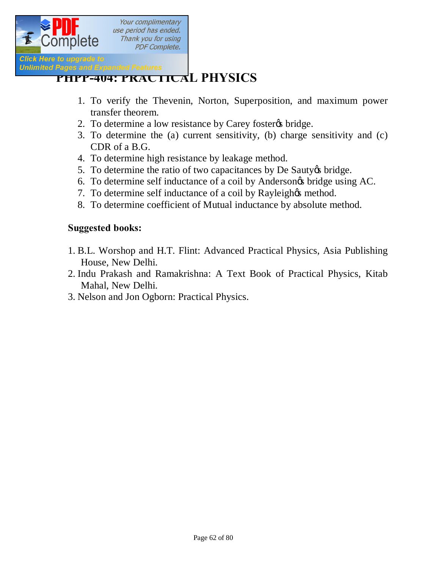

## *Pages and Expanded Features*<br> **[PHPP-404: PRACTICA](http://www.pdfcomplete.com/cms/hppl/tabid/108/Default.aspx?r=q8b3uige22)L PHYSICS**

- 1. To verify the Thevenin, Norton, Superposition, and maximum power transfer theorem.
- 2. To determine a low resistance by Carey foster ts bridge.
- 3. To determine the (a) current sensitivity, (b) charge sensitivity and (c) CDR of a B.G.
- 4. To determine high resistance by leakage method.
- 5. To determine the ratio of two capacitances by De Sauty to bridge.
- 6. To determine self inductance of a coil by Andersongs bridge using AC.
- 7. To determine self inductance of a coil by Rayleigh $\alpha$  method.
- 8. To determine coefficient of Mutual inductance by absolute method.

### **Suggested books:**

- 1. B.L. Worshop and H.T. Flint: Advanced Practical Physics, Asia Publishing House, New Delhi.
- 2. Indu Prakash and Ramakrishna: A Text Book of Practical Physics, Kitab Mahal, New Delhi.
- 3. Nelson and Jon Ogborn: Practical Physics.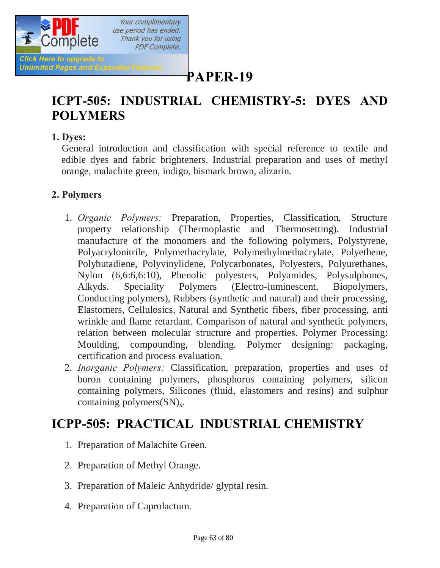

## **[P](http://www.pdfcomplete.com/cms/hppl/tabid/108/Default.aspx?r=q8b3uige22)APER-19**

## **ICPT-505: INDUSTRIAL CHEMISTRY-5: DYES AND POLYMERS**

### **1. Dyes:**

 General introduction and classification with special reference to textile and edible dyes and fabric brighteners. Industrial preparation and uses of methyl orange, malachite green, indigo, bismark brown, alizarin.

### **2. Polymers**

- 1. *Organic Polymers:* Preparation, Properties, Classification, Structure property relationship (Thermoplastic and Thermosetting). Industrial manufacture of the monomers and the following polymers, Polystyrene, Polyacrylonitrile, Polymethacrylate, Polymethylmethacrylate, Polyethene, Polybutadiene, Polyvinylidene, Polycarbonates, Polyesters, Polyurethanes, Nylon (6,6:6,6:10), Phenolic polyesters, Polyamides, Polysulphones, Alkyds. Speciality Polymers (Electro-luminescent, Biopolymers, Conducting polymers), Rubbers (synthetic and natural) and their processing, Elastomers, Cellulosics, Natural and Synthetic fibers, fiber processing, anti wrinkle and flame retardant. Comparison of natural and synthetic polymers, relation between molecular structure and properties. Polymer Processing: Moulding, compounding, blending. Polymer designing: packaging, certification and process evaluation.
- 2. *Inorganic Polymers:* Classification, preparation, properties and uses of boron containing polymers, phosphorus containing polymers, silicon containing polymers, Silicones (fluid, elastomers and resins) and sulphur containing polymers $(SN)_x$ .

## **ICPP-505: PRACTICAL INDUSTRIAL CHEMISTRY**

- 1. Preparation of Malachite Green.
- 2. Preparation of Methyl Orange.
- 3. Preparation of Maleic Anhydride/ glyptal resin.
- 4. Preparation of Caprolactum.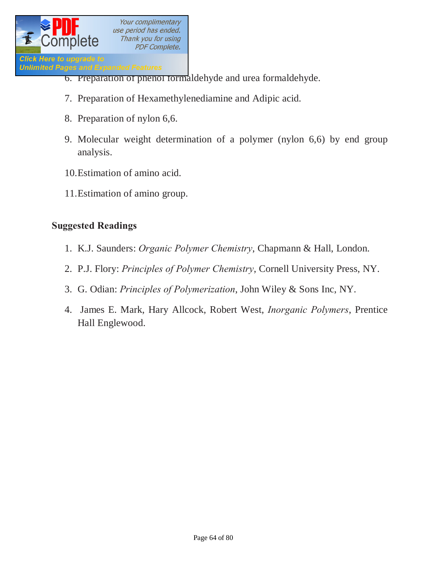

- 6. Preparation of phenol formaldehyde and urea formaldehyde.
- 7. Preparation of Hexamethylenediamine and Adipic acid.
- 8. Preparation of nylon 6,6.
- 9. Molecular weight determination of a polymer (nylon 6,6) by end group analysis.
- 10.Estimation of amino acid.
- 11.Estimation of amino group.

### **Suggested Readings**

- 1. K.J. Saunders: *Organic Polymer Chemistry*, Chapmann & Hall, London.
- 2. P.J. Flory: *Principles of Polymer Chemistry*, Cornell University Press, NY.
- 3. G. Odian: *Principles of Polymerization*, John Wiley & Sons Inc, NY.
- 4. James E. Mark, Hary Allcock, Robert West, *Inorganic Polymers*, Prentice Hall Englewood.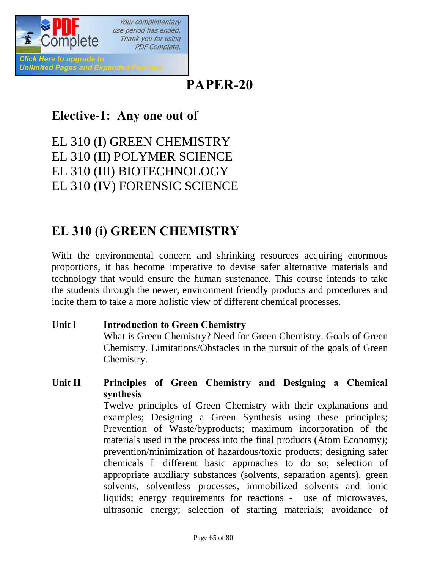

## **PAPER-20**

## **Elective-1: Any one out of**

EL 310 (I) GREEN CHEMISTRY EL 310 (II) POLYMER SCIENCE EL 310 (III) BIOTECHNOLOGY EL 310 (IV) FORENSIC SCIENCE

## **EL 310 (i) GREEN CHEMISTRY**

With the environmental concern and shrinking resources acquiring enormous proportions, it has become imperative to devise safer alternative materials and technology that would ensure the human sustenance. This course intends to take the students through the newer, environment friendly products and procedures and incite them to take a more holistic view of different chemical processes.

- **Unit l Introduction to Green Chemistry** What is Green Chemistry? Need for Green Chemistry. Goals of Green Chemistry. Limitations/Obstacles in the pursuit of the goals of Green Chemistry.
- **Unit II Principles of Green Chemistry and Designing a Chemical synthesis** Twelve principles of Green Chemistry with their explanations and examples; Designing a Green Synthesis using these principles; Prevention of Waste/byproducts; maximum incorporation of the materials used in the process into the final products (Atom Economy); prevention/minimization of hazardous/toxic products; designing safer chemicals ó different basic approaches to do so; selection of appropriate auxiliary substances (solvents, separation agents), green solvents, solventless processes, immobilized solvents and ionic liquids; energy requirements for reactions - use of microwaves, ultrasonic energy; selection of starting materials; avoidance of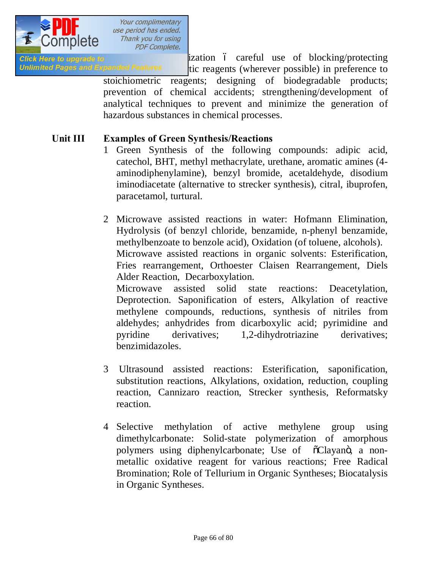

Click Here to upgrade to **unity of the careful use** of blocking/protecting Unlimited Pages and Expanded Features tic reagents (wherever possible) in preference to stoichiometric reagents; designing of biodegradable products; prevention of chemical accidents; strengthening/development of analytical techniques to prevent and minimize the generation of hazardous substances in chemical processes.

### **Unit III Examples of Green Synthesis/Reactions**

benzimidazoles.

1 Green Synthesis of the following compounds: adipic acid, catechol, BHT, methyl methacrylate, urethane, aromatic amines (4 aminodiphenylamine), benzyl bromide, acetaldehyde, disodium iminodiacetate (alternative to strecker synthesis), citral, ibuprofen, paracetamol, turtural.

2 Microwave assisted reactions in water: Hofmann Elimination, Hydrolysis (of benzyl chloride, benzamide, n-phenyl benzamide, methylbenzoate to benzole acid), Oxidation (of toluene, alcohols). Microwave assisted reactions in organic solvents: Esterification, Fries rearrangement, Orthoester Claisen Rearrangement, Diels Alder Reaction, Decarboxylation. Microwave assisted solid state reactions: Deacetylation, Deprotection. Saponification of esters, Alkylation of reactive methylene compounds, reductions, synthesis of nitriles from aldehydes; anhydrides from dicarboxylic acid; pyrimidine and pyridine derivatives; 1,2-dihydrotriazine derivatives;

- 3 Ultrasound assisted reactions: Esterification, saponification, substitution reactions, Alkylations, oxidation, reduction, coupling reaction, Cannizaro reaction, Strecker synthesis, Reformatsky reaction.
- 4 Selective methylation of active methylene group using dimethylcarbonate: Solid-state polymerization of amorphous polymers using diphenylcarbonate; Use of  $\tilde{\text{o}}$ Clayano, a nonmetallic oxidative reagent for various reactions; Free Radical Bromination; Role of Tellurium in Organic Syntheses; Biocatalysis in Organic Syntheses.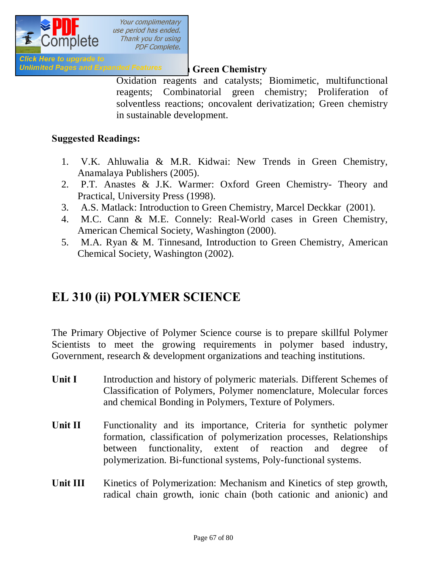

### **Unlimited Pages and Expanded Features Green Chemistry**

Oxidation reagents and catalysts; Biomimetic, multifunctional reagents; Combinatorial green chemistry; Proliferation of solventless reactions; oncovalent derivatization; Green chemistry in sustainable development.

### **Suggested Readings:**

- 1. V.K. Ahluwalia & M.R. Kidwai: New Trends in Green Chemistry, Anamalaya Publishers (2005).
- 2. P.T. Anastes & J.K. Warmer: Oxford Green Chemistry- Theory and Practical, University Press (1998).
- 3. A.S. Matlack: Introduction to Green Chemistry, Marcel Deckkar (2001).
- 4. M.C. Cann & M.E. Connely: Real-World cases in Green Chemistry, American Chemical Society, Washington (2000).
- 5. M.A. Ryan & M. Tinnesand, Introduction to Green Chemistry, American Chemical Society, Washington (2002).

## **EL 310 (ii) POLYMER SCIENCE**

The Primary Objective of Polymer Science course is to prepare skillful Polymer Scientists to meet the growing requirements in polymer based industry, Government, research & development organizations and teaching institutions.

- **Unit I** Introduction and history of polymeric materials. Different Schemes of Classification of Polymers, Polymer nomenclature, Molecular forces and chemical Bonding in Polymers, Texture of Polymers.
- Unit II Functionality and its importance, Criteria for synthetic polymer formation, classification of polymerization processes, Relationships between functionality, extent of reaction and degree of polymerization. Bi-functional systems, Poly-functional systems.
- Unit III Kinetics of Polymerization: Mechanism and Kinetics of step growth, radical chain growth, ionic chain (both cationic and anionic) and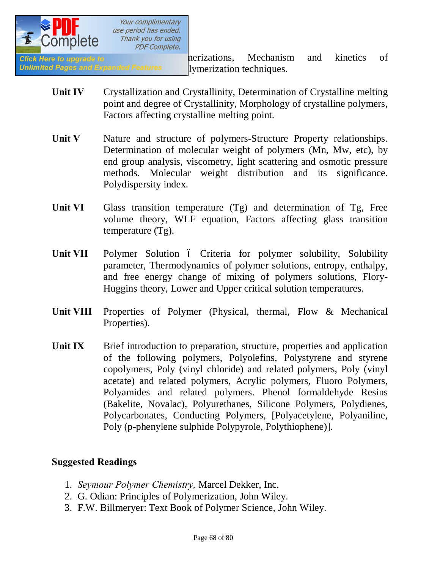

**Click Here to upgrade to a set of the coordination contract of the coordinations, Mechanism and kinetics of** Unlimited Pages and Expanded Features lymerization techniques.

- **Unit IV** Crystallization and Crystallinity, Determination of Crystalline melting point and degree of Crystallinity, Morphology of crystalline polymers, Factors affecting crystalline melting point.
- Unit V Nature and structure of polymers-Structure Property relationships. Determination of molecular weight of polymers (Mn, Mw, etc), by end group analysis, viscometry, light scattering and osmotic pressure methods. Molecular weight distribution and its significance. Polydispersity index.
- Unit VI Glass transition temperature (Tg) and determination of Tg, Free volume theory, WLF equation, Factors affecting glass transition temperature (Tg).
- Unit VII Polymer Solution 6 Criteria for polymer solubility, Solubility parameter, Thermodynamics of polymer solutions, entropy, enthalpy, and free energy change of mixing of polymers solutions, Flory-Huggins theory, Lower and Upper critical solution temperatures.
- Unit VIII Properties of Polymer (Physical, thermal, Flow & Mechanical Properties).
- Unit IX Brief introduction to preparation, structure, properties and application of the following polymers, Polyolefins, Polystyrene and styrene copolymers, Poly (vinyl chloride) and related polymers, Poly (vinyl acetate) and related polymers, Acrylic polymers, Fluoro Polymers, Polyamides and related polymers. Phenol formaldehyde Resins (Bakelite, Novalac), Polyurethanes, Silicone Polymers, Polydienes, Polycarbonates, Conducting Polymers, [Polyacetylene, Polyaniline, Poly (p-phenylene sulphide Polypyrole, Polythiophene)].

### **Suggested Readings**

- 1. *Seymour Polymer Chemistry,* Marcel Dekker, Inc.
- 2. G. Odian: Principles of Polymerization, John Wiley.
- 3. F.W. Billmeryer: Text Book of Polymer Science, John Wiley.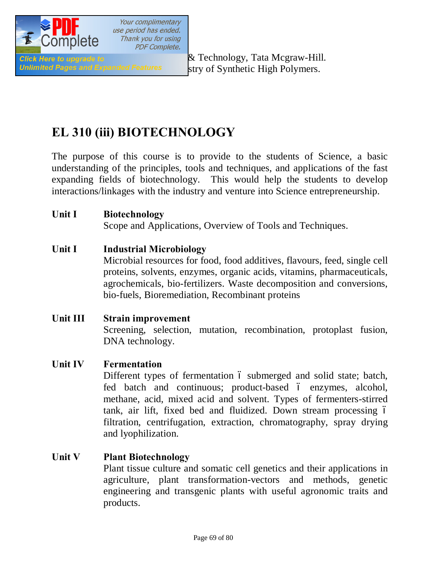

Unlimited Pages and Expanded Features stry of Synthetic High Polymers.

## **EL 310 (iii) BIOTECHNOLOGY**

The purpose of this course is to provide to the students of Science, a basic understanding of the principles, tools and techniques, and applications of the fast expanding fields of biotechnology. This would help the students to develop interactions/linkages with the industry and venture into Science entrepreneurship.

### **Unit I Biotechnology**

Scope and Applications, Overview of Tools and Techniques.

### **Unit I Industrial Microbiology**

Microbial resources for food, food additives, flavours, feed, single cell proteins, solvents, enzymes, organic acids, vitamins, pharmaceuticals, agrochemicals, bio-fertilizers. Waste decomposition and conversions, bio-fuels, Bioremediation, Recombinant proteins

### **Unit III Strain improvement**  Screening, selection, mutation, recombination, protoplast fusion, DNA technology.

### **Unit IV Fermentation**

Different types of fermentation 6 submerged and solid state; batch, fed batch and continuous; product-based  $\acute{o}$  enzymes, alcohol, methane, acid, mixed acid and solvent. Types of fermenters-stirred tank, air lift, fixed bed and fluidized. Down stream processing – filtration, centrifugation, extraction, chromatography, spray drying and lyophilization.

### **Unit V Plant Biotechnology**

Plant tissue culture and somatic cell genetics and their applications in agriculture, plant transformation-vectors and methods, genetic engineering and transgenic plants with useful agronomic traits and products.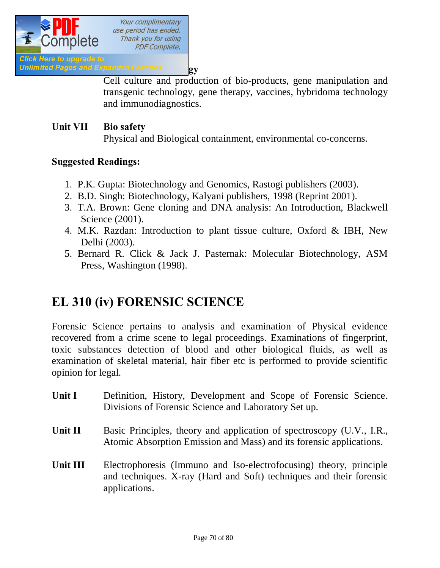

**Unlimited Pages and Expanded Features by** 

Cell culture and production of bio-products, gene manipulation and transgenic technology, gene therapy, vaccines, hybridoma technology and immunodiagnostics.

### **Unit VII Bio safety**

Physical and Biological containment, environmental co-concerns.

### **Suggested Readings:**

- 1. P.K. Gupta: Biotechnology and Genomics, Rastogi publishers (2003).
- 2. B.D. Singh: Biotechnology, Kalyani publishers, 1998 (Reprint 2001).
- 3. T.A. Brown: Gene cloning and DNA analysis: An Introduction, Blackwell Science (2001).
- 4. M.K. Razdan: Introduction to plant tissue culture, Oxford & IBH, New Delhi (2003).
- 5. Bernard R. Click & Jack J. Pasternak: Molecular Biotechnology, ASM Press, Washington (1998).

## **EL 310 (iv) FORENSIC SCIENCE**

Forensic Science pertains to analysis and examination of Physical evidence recovered from a crime scene to legal proceedings. Examinations of fingerprint, toxic substances detection of blood and other biological fluids, as well as examination of skeletal material, hair fiber etc is performed to provide scientific opinion for legal.

- Unit I Definition, History, Development and Scope of Forensic Science. Divisions of Forensic Science and Laboratory Set up.
- Unit II Basic Principles, theory and application of spectroscopy (U.V., I.R., Atomic Absorption Emission and Mass) and its forensic applications.
- **Unit III** Electrophoresis (Immuno and Iso-electrofocusing) theory, principle and techniques. X-ray (Hard and Soft) techniques and their forensic applications.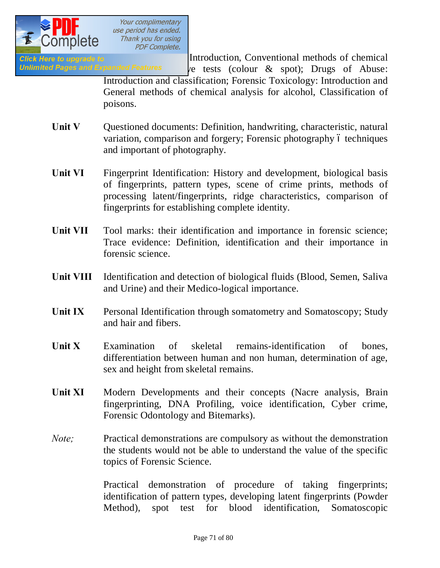

**Click Here to upgrade to Electronic Chemical Introduction, Conventional methods of chemical** 

Unlimited Pages and Expanded Features  $\vee$  rests (colour  $\&$  spot); Drugs of Abuse: Introduction and classification; Forensic Toxicology: Introduction and General methods of chemical analysis for alcohol, Classification of poisons.

- **Unit V** Questioned documents: Definition, handwriting, characteristic, natural variation, comparison and forgery; Forensic photography 6 techniques and important of photography.
- Unit VI Fingerprint Identification: History and development, biological basis of fingerprints, pattern types, scene of crime prints, methods of processing latent/fingerprints, ridge characteristics, comparison of fingerprints for establishing complete identity.
- Unit VII Tool marks: their identification and importance in forensic science; Trace evidence: Definition, identification and their importance in forensic science.
- **Unit VIII** Identification and detection of biological fluids (Blood, Semen, Saliva and Urine) and their Medico-logical importance.
- Unit IX Personal Identification through somatometry and Somatoscopy; Study and hair and fibers.
- **Unit X** Examination of skeletal remains-identification of bones, differentiation between human and non human, determination of age, sex and height from skeletal remains.
- Unit XI Modern Developments and their concepts (Nacre analysis, Brain fingerprinting, DNA Profiling, voice identification, Cyber crime, Forensic Odontology and Bitemarks).
- *Note*: Practical demonstrations are compulsory as without the demonstration the students would not be able to understand the value of the specific topics of Forensic Science.

Practical demonstration of procedure of taking fingerprints; identification of pattern types, developing latent fingerprints (Powder Method), spot test for blood identification, Somatoscopic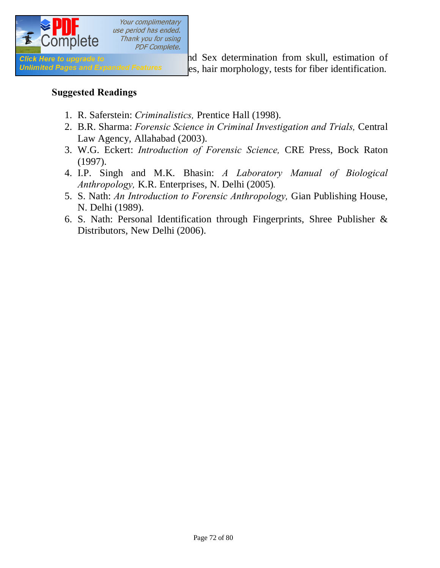

**Click Here to upgrade to and Sex determination from skull, estimation of** Unlimited Pages and Expanded Features es, hair morphology, tests for fiber identification.

### **Suggested Readings**

- 1. R. Saferstein: *Criminalistics,* Prentice Hall (1998).
- 2. B.R. Sharma: *Forensic Science in Criminal Investigation and Trials,* Central Law Agency, Allahabad (2003).
- 3. W.G. Eckert: *Introduction of Forensic Science,* CRE Press, Bock Raton (1997).
- 4. I.P. Singh and M.K. Bhasin: *A Laboratory Manual of Biological Anthropology,* K.R. Enterprises, N. Delhi (2005)*.*
- 5. S. Nath: *An Introduction to Forensic Anthropology,* Gian Publishing House, N. Delhi (1989).
- 6. S. Nath: Personal Identification through Fingerprints, Shree Publisher & Distributors, New Delhi (2006).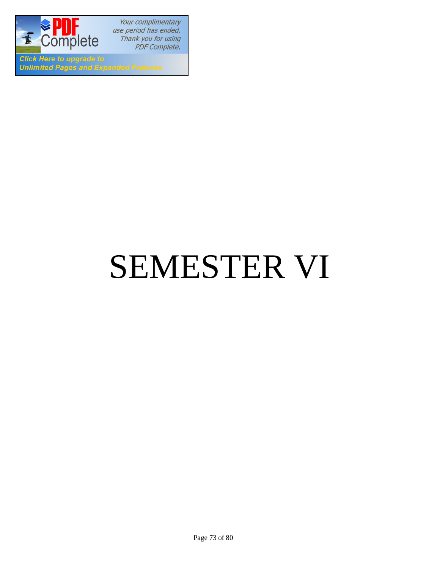

Your complimentary use period has ended. Thank you for using PDF Complete.

**Click Here to upgrade to Unlimited Pages and Expanded Features** 

# SEMESTER VI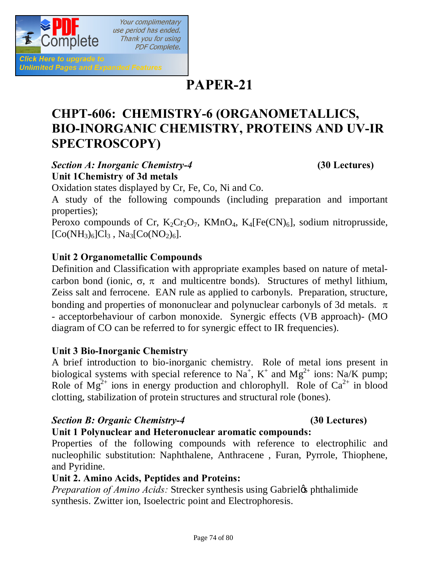

## **PAPER-21**

## **CHPT-606: CHEMISTRY-6 (ORGANOMETALLICS, BIO-INORGANIC CHEMISTRY, PROTEINS AND UV-IR SPECTROSCOPY)**

#### *Section A: Inorganic Chemistry-4* **(30 Lectures) Unit 1Chemistry of 3d metals**

Oxidation states displayed by Cr, Fe, Co, Ni and Co.

A study of the following compounds (including preparation and important properties);

Peroxo compounds of Cr,  $K_2Cr_2O_7$ ,  $KMnO_4$ ,  $K_4[Fe(CN)_6]$ , sodium nitroprusside,  $[Co(NH_3)_6]Cl_3$ , Na<sub>3</sub> $[Co(NO_2)_6]$ .

#### **Unit 2 Organometallic Compounds**

Definition and Classification with appropriate examples based on nature of metalcarbon bond (ionic,  $\sigma$ ,  $\pi$  and multicentre bonds). Structures of methyl lithium, Zeiss salt and ferrocene. EAN rule as applied to carbonyls. Preparation, structure, bonding and properties of mononuclear and polynuclear carbonyls of 3d metals.  $\pi$ - acceptorbehaviour of carbon monoxide. Synergic effects (VB approach)- (MO diagram of CO can be referred to for synergic effect to IR frequencies).

#### **Unit 3 Bio-Inorganic Chemistry**

A brief introduction to bio-inorganic chemistry. Role of metal ions present in biological systems with special reference to  $Na^+$ ,  $K^+$  and  $Mg^{2+}$  ions: Na/K pump; Role of  $Mg^{2+}$  ions in energy production and chlorophyll. Role of  $Ca^{2+}$  in blood clotting, stabilization of protein structures and structural role (bones).

#### *Section B: Organic Chemistry-4* **(30 Lectures)**

#### **Unit 1 Polynuclear and Heteronuclear aromatic compounds:**

Properties of the following compounds with reference to electrophilic and nucleophilic substitution: Naphthalene, Anthracene , Furan, Pyrrole, Thiophene, and Pyridine.

#### **Unit 2. Amino Acids, Peptides and Proteins:**

*Preparation of Amino Acids:* Strecker synthesis using Gabriel & phthalimide synthesis. Zwitter ion, Isoelectric point and Electrophoresis.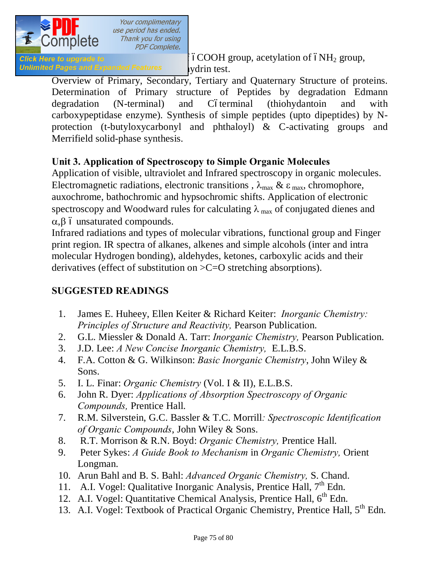

*Click Here to upgrade to*  $\check{\phantom{a}}$  ( $\check{\phantom{a}}$  6COOH group, acetylation of  $\acute{\mathrm{o}}NH_2$  group, Unlimited Pages and Expanded Features vidrin test.

Overview of Primary, Secondary, Tertiary and Quaternary Structure of proteins. Determination of Primary structure of Peptides by degradation Edmann degradation (N-terminal) and Cóterminal (thiohydantoin and with carboxypeptidase enzyme). Synthesis of simple peptides (upto dipeptides) by Nprotection (t-butyloxycarbonyl and phthaloyl) & C-activating groups and Merrifield solid-phase synthesis.

### **Unit 3. Application of Spectroscopy to Simple Organic Molecules**

Application of visible, ultraviolet and Infrared spectroscopy in organic molecules. Electromagnetic radiations, electronic transitions,  $\lambda_{\text{max}} \& \varepsilon_{\text{max}}$ , chromophore, auxochrome, bathochromic and hypsochromic shifts. Application of electronic spectroscopy and Woodward rules for calculating  $\lambda_{\text{max}}$  of conjugated dienes and  $\alpha$ , $\beta$  ó unsaturated compounds.

Infrared radiations and types of molecular vibrations, functional group and Finger print region. IR spectra of alkanes, alkenes and simple alcohols (inter and intra molecular Hydrogen bonding), aldehydes, ketones, carboxylic acids and their derivatives (effect of substitution on >C=O stretching absorptions).

#### **SUGGESTED READINGS**

- 1. James E. Huheey, Ellen Keiter & Richard Keiter: *Inorganic Chemistry: Principles of Structure and Reactivity,* Pearson Publication.
- 2. G.L. Miessler & Donald A. Tarr: *Inorganic Chemistry,* Pearson Publication.
- 3. J.D. Lee: *A New Concise Inorganic Chemistry,* E.L.B.S.
- 4. F.A. Cotton & G. Wilkinson: *Basic Inorganic Chemistry*, John Wiley & Sons.
- 5. I. L. Finar: *Organic Chemistry* (Vol. I & II), E.L.B.S.
- 6. John R. Dyer: *Applications of Absorption Spectroscopy of Organic Compounds,* Prentice Hall.
- 7. R.M. Silverstein, G.C. Bassler & T.C. Morrill*: Spectroscopic Identification of Organic Compounds*, John Wiley & Sons.
- 8. R.T. Morrison & R.N. Boyd: *Organic Chemistry,* Prentice Hall.
- 9. Peter Sykes: *A Guide Book to Mechanism* in *Organic Chemistry,* Orient Longman.
- 10. Arun Bahl and B. S. Bahl: *Advanced Organic Chemistry,* S. Chand.
- 11. A.I. Vogel: Qualitative Inorganic Analysis, Prentice Hall,  $7<sup>th</sup>$  Edn.
- 12. A.I. Vogel: Quantitative Chemical Analysis, Prentice Hall,  $6<sup>th</sup>$  Edn.
- 13. A.I. Vogel: Textbook of Practical Organic Chemistry, Prentice Hall, 5<sup>th</sup> Edn.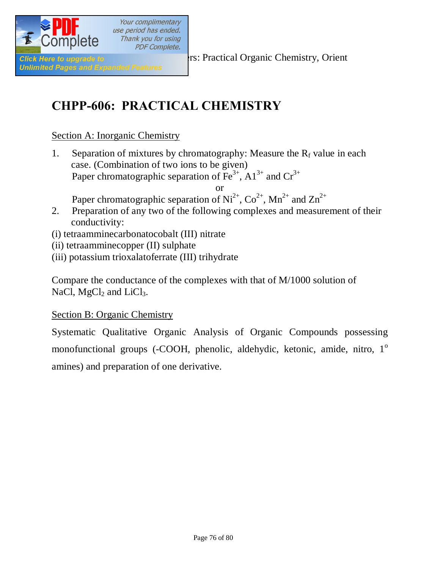

Your complimentary use period has ended. Thank you for using **PDF Complete.** 

**Click Here to upgrade to Elizabeth Click Here to upgrade to Elizabeth Structure Chemistry, Orient** 

## **CHPP-606: PRACTICAL CHEMISTRY**

#### Section A: Inorganic Chemistry

1. Separation of mixtures by chromatography: Measure the  $R_f$  value in each case. (Combination of two ions to be given) Paper chromatographic separation of  $\overline{Fe}^{3+}$ ,  $\overline{Al}^{3+}$  and  $\overline{Cr}^{3+}$ 

or

Paper chromatographic separation of  $Ni^{2+}$ ,  $Co^{2+}$ ,  $Mn^{2+}$  and  $Zn^{2+}$ 

- 2. Preparation of any two of the following complexes and measurement of their conductivity:
- (i) tetraamminecarbonatocobalt (III) nitrate
- (ii) tetraamminecopper (II) sulphate
- (iii) potassium trioxalatoferrate (III) trihydrate

Compare the conductance of the complexes with that of M/1000 solution of NaCl,  $MgCl<sub>2</sub>$  and LiCl<sub>3</sub>.

#### Section B: Organic Chemistry

Systematic Qualitative Organic Analysis of Organic Compounds possessing monofunctional groups (-COOH, phenolic, aldehydic, ketonic, amide, nitro, 1<sup>o</sup> amines) and preparation of one derivative.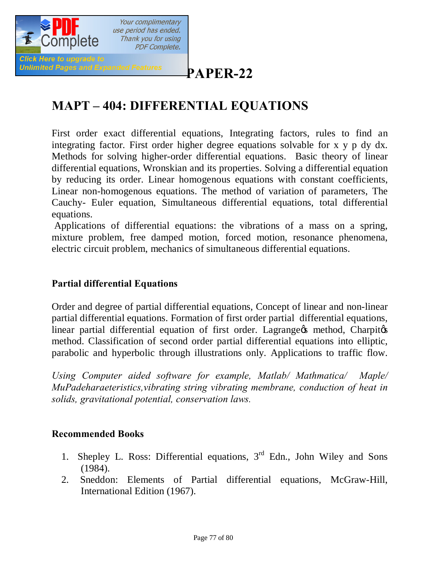

## **[P](http://www.pdfcomplete.com/cms/hppl/tabid/108/Default.aspx?r=q8b3uige22)APER-22**

## **MAPT – 404: DIFFERENTIAL EQUATIONS**

First order exact differential equations, Integrating factors, rules to find an integrating factor. First order higher degree equations solvable for x y p dy dx. Methods for solving higher-order differential equations. Basic theory of linear differential equations, Wronskian and its properties. Solving a differential equation by reducing its order. Linear homogenous equations with constant coefficients, Linear non-homogenous equations. The method of variation of parameters, The Cauchy- Euler equation, Simultaneous differential equations, total differential equations.

Applications of differential equations: the vibrations of a mass on a spring, mixture problem, free damped motion, forced motion, resonance phenomena, electric circuit problem, mechanics of simultaneous differential equations.

#### **Partial differential Equations**

Order and degree of partial differential equations, Concept of linear and non-linear partial differential equations. Formation of first order partial differential equations, linear partial differential equation of first order. Lagrange is method, Charpitos method. Classification of second order partial differential equations into elliptic, parabolic and hyperbolic through illustrations only. Applications to traffic flow.

*Using Computer aided software for example, Matlab/ Mathmatica/ Maple/ MuPadeharaeteristics,vibrating string vibrating membrane, conduction of heat in solids, gravitational potential, conservation laws.*

#### **Recommended Books**

- 1. Shepley L. Ross: Differential equations,  $3<sup>rd</sup>$  Edn., John Wiley and Sons (1984).
- 2. Sneddon: Elements of Partial differential equations, McGraw-Hill, International Edition (1967).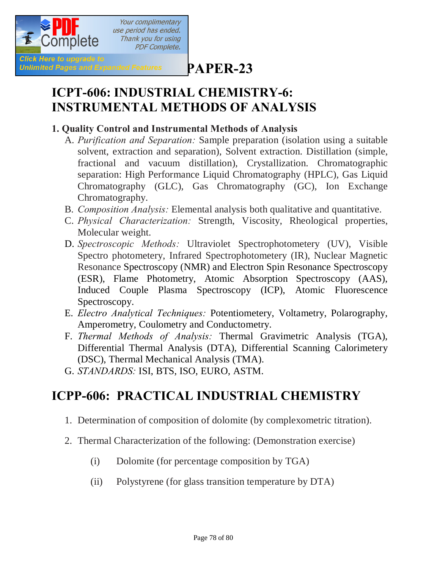

**[P](http://www.pdfcomplete.com/cms/hppl/tabid/108/Default.aspx?r=q8b3uige22)APER-23**

## **ICPT-606: INDUSTRIAL CHEMISTRY-6: INSTRUMENTAL METHODS OF ANALYSIS**

#### **1. Quality Control and Instrumental Methods of Analysis**

- A. *Purification and Separation:* Sample preparation (isolation using a suitable solvent, extraction and separation), Solvent extraction. Distillation (simple, fractional and vacuum distillation), Crystallization. Chromatographic separation: High Performance Liquid Chromatography (HPLC), Gas Liquid Chromatography (GLC), Gas Chromatography (GC), Ion Exchange Chromatography.
- B. *Composition Analysis:* Elemental analysis both qualitative and quantitative.
- C. *Physical Characterization:* Strength, Viscosity, Rheological properties, Molecular weight.
- D. *Spectroscopic Methods:* Ultraviolet Spectrophotometery (UV), Visible Spectro photometery, Infrared Spectrophotometery (IR), Nuclear Magnetic Resonance Spectroscopy (NMR) and Electron Spin Resonance Spectroscopy (ESR), Flame Photometry, Atomic Absorption Spectroscopy (AAS), Induced Couple Plasma Spectroscopy (ICP), Atomic Fluorescence Spectroscopy.
- E. *Electro Analytical Techniques:* Potentiometery, Voltametry, Polarography, Amperometry, Coulometry and Conductometry.
- F. *Thermal Methods of Analysis:* Thermal Gravimetric Analysis (TGA), Differential Thermal Analysis (DTA), Differential Scanning Calorimetery (DSC), Thermal Mechanical Analysis (TMA).
- G. *STANDARDS:* ISI, BTS, ISO, EURO, ASTM.

## **ICPP-606: PRACTICAL INDUSTRIAL CHEMISTRY**

- 1. Determination of composition of dolomite (by complexometric titration).
- 2. Thermal Characterization of the following: (Demonstration exercise)
	- (i) Dolomite (for percentage composition by TGA)
	- (ii) Polystyrene (for glass transition temperature by DTA)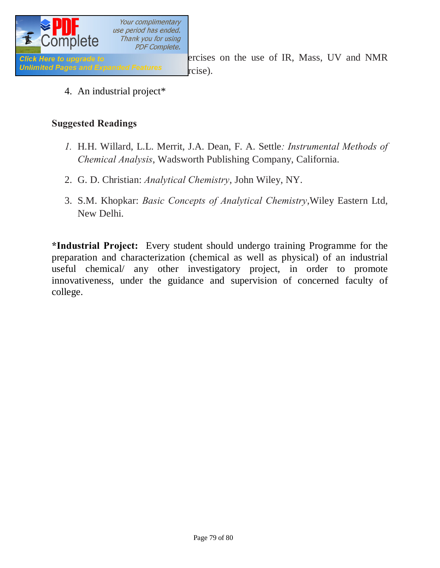

**Click Here to upgrade to 3. Demonstration of the use of IR, Mass, UV and NMR** 

4. An industrial project\*

#### **Suggested Readings**

- *1.* H.H. Willard, L.L. Merrit, J.A. Dean, F. A. Settle*: Instrumental Methods of Chemical Analysis*, Wadsworth Publishing Company, California.
- 2. G. D. Christian: *Analytical Chemistry*, John Wiley, NY.
- 3. S.M. Khopkar: *Basic Concepts of Analytical Chemistry*,Wiley Eastern Ltd, New Delhi.

**\*Industrial Project:** Every student should undergo training Programme for the preparation and characterization (chemical as well as physical) of an industrial useful chemical/ any other investigatory project, in order to promote innovativeness, under the guidance and supervision of concerned faculty of college.